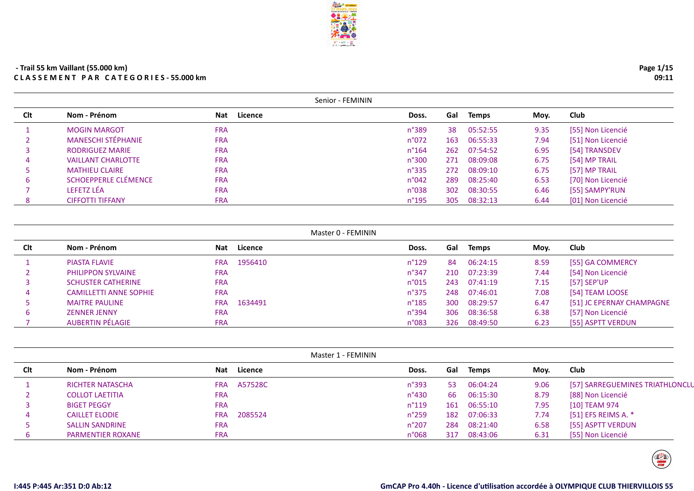|     |                           |                       | Senior - FEMININ |     |              |      |                   |
|-----|---------------------------|-----------------------|------------------|-----|--------------|------|-------------------|
| Clt | Nom - Prénom              | Licence<br><b>Nat</b> | Doss.            | Gal | Temps        | Moy. | <b>Club</b>       |
|     | <b>MOGIN MARGOT</b>       | <b>FRA</b>            | n°389            | 38  | 05:52:55     | 9.35 | [55] Non Licencié |
|     | <b>MANESCHI STÉPHANIE</b> | <b>FRA</b>            | n°072            | 163 | 06:55:33     | 7.94 | [51] Non Licencié |
|     | <b>RODRIGUEZ MARIE</b>    | <b>FRA</b>            | $n^{\circ}164$   |     | 262 07:54:52 | 6.95 | [54] TRANSDEV     |
| 4   | <b>VAILLANT CHARLOTTE</b> | <b>FRA</b>            | n°300            |     | 271 08:09:08 | 6.75 | [54] MP TRAIL     |
| 5.  | <b>MATHIEU CLAIRE</b>     | <b>FRA</b>            | $n^{\circ}335$   | 272 | 08:09:10     | 6.75 | [57] MP TRAIL     |
| 6   | SCHOEPPERLE CLÉMENCE      | <b>FRA</b>            | n°042            | 289 | 08:25:40     | 6.53 | [70] Non Licencié |
|     | LEFETZ LÉA                | <b>FRA</b>            | n°038            |     | 302 08:30:55 | 6.46 | [55] SAMPY'RUN    |
| 8   | <b>CIFFOTTI TIFFANY</b>   | <b>FRA</b>            | $n^{\circ}$ 195  | 305 | 08:32:13     | 6.44 | [01] Non Licencié |

| Master 0 - FEMININ |  |  |  |  |  |
|--------------------|--|--|--|--|--|
|--------------------|--|--|--|--|--|

| Clt | Nom - Prénom                  | <b>Nat</b> | Licence | Doss.           | Gal | <b>Temps</b> | Moy. | Club                      |
|-----|-------------------------------|------------|---------|-----------------|-----|--------------|------|---------------------------|
|     | <b>PIASTA FLAVIE</b>          | <b>FRA</b> | 1956410 | $n^{\circ}129$  | -84 | 06:24:15     | 8.59 | [55] GA COMMERCY          |
|     | <b>PHILIPPON SYLVAINE</b>     | <b>FRA</b> |         | $n^{\circ}347$  | 210 | 07:23:39     | 7.44 | [54] Non Licencié         |
|     | <b>SCHUSTER CATHERINE</b>     | <b>FRA</b> |         | n°015           | 243 | 07:41:19     | 7.15 | [57] SEP'UP               |
|     | <b>CAMILLETTI ANNE SOPHIE</b> | <b>FRA</b> |         | $n^{\circ}375$  | 248 | 07:46:01     | 7.08 | [54] TEAM LOOSE           |
|     | <b>MAITRE PAULINE</b>         | <b>FRA</b> | 1634491 | $n^{\circ}$ 185 | 300 | 08:29:57     | 6.47 | [51] JC EPERNAY CHAMPAGNE |
|     | <b>ZENNER JENNY</b>           | <b>FRA</b> |         | $n^{\circ}394$  | 306 | 08:36:58     | 6.38 | [57] Non Licencié         |
|     | <b>AUBERTIN PÉLAGIE</b>       | <b>FRA</b> |         | n°083           | 326 | 08:49:50     | 6.23 | [55] ASPTT VERDUN         |
|     |                               |            |         |                 |     |              |      |                           |

|     |                          |            |         | Master 1 - FEMININ    |                |      |                                 |  |  |
|-----|--------------------------|------------|---------|-----------------------|----------------|------|---------------------------------|--|--|
| Clt | Nom - Prénom             | <b>Nat</b> | Licence | Doss.                 | Gal<br>Temps   | Moy. | <b>Club</b>                     |  |  |
|     | <b>RICHTER NATASCHA</b>  | <b>FRA</b> | A57528C | n°393<br>-53          | 06:04:24       | 9.06 | [57] SARREGUEMINES TRIATHLONCLU |  |  |
|     | <b>COLLOT LAETITIA</b>   | <b>FRA</b> |         | $n^{\circ}430$        | 06:15:30<br>66 | 8.79 | [88] Non Licencié               |  |  |
|     | <b>BIGET PEGGY</b>       | <b>FRA</b> |         | $n^{\circ}119$<br>161 | 06:55:10       | 7.95 | [10] TEAM 974                   |  |  |
| 4   | <b>CAILLET ELODIE</b>    | <b>FRA</b> | 2085524 | $n^{\circ}259$<br>182 | 07:06:33       | 7.74 | [51] EFS REIMS A. $*$           |  |  |
|     | <b>SALLIN SANDRINE</b>   | <b>FRA</b> |         | $n^{\circ}207$<br>284 | 08:21:40       | 6.58 | [55] ASPTT VERDUN               |  |  |
|     | <b>PARMENTIER ROXANE</b> | <b>FRA</b> |         | n°068<br>317          | 08:43:06       | 6.31 | [55] Non Licencié               |  |  |

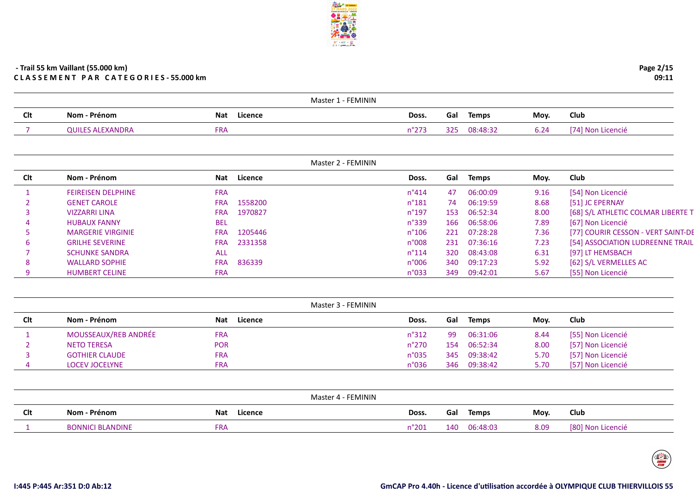|            |                       |                       | Master 1 - FEMININ |     |              |      |                          |
|------------|-----------------------|-----------------------|--------------------|-----|--------------|------|--------------------------|
| <b>Clt</b> | Nom - Prénom          | Licence<br><b>Nat</b> | Doss.              | Gal | <b>Temps</b> | Moy. | Club                     |
|            | i ALEXANDRA<br>JUILES | ™RΑ                   |                    | 2つロ | 08:48:32     | b.Z4 | Licencié<br>Non<br>17A L |

|     |                           |            |             | Master 2 - FEMININ |     |          |      |                                    |
|-----|---------------------------|------------|-------------|--------------------|-----|----------|------|------------------------------------|
| Clt | Nom - Prénom              |            | Nat Licence | Doss.              | Gal | Temps    | Moy. | Club                               |
|     | <b>FEIREISEN DELPHINE</b> | <b>FRA</b> |             | $n^{\circ}414$     | 47  | 06:00:09 | 9.16 | [54] Non Licencié                  |
|     | <b>GENET CAROLE</b>       | <b>FRA</b> | 1558200     | $n^{\circ}$ 181    | 74  | 06:19:59 | 8.68 | [51] JC EPERNAY                    |
|     | <b>VIZZARRI LINA</b>      | <b>FRA</b> | 1970827     | $n^{\circ}$ 197    | 153 | 06:52:34 | 8.00 | [68] S/L ATHLETIC COLMAR LIBERTE T |
| 4   | <b>HUBAUX FANNY</b>       | <b>BEL</b> |             | $n^{\circ}339$     | 166 | 06:58:06 | 7.89 | [67] Non Licencié                  |
|     | <b>MARGERIE VIRGINIE</b>  | <b>FRA</b> | 1205446     | $n^{\circ}106$     | 221 | 07:28:28 | 7.36 | [77] COURIR CESSON - VERT SAINT-DE |
| b   | <b>GRILHE SEVERINE</b>    | <b>FRA</b> | 2331358     | n°008              | 231 | 07:36:16 | 7.23 | [54] ASSOCIATION LUDREENNE TRAIL   |
|     | <b>SCHUNKE SANDRA</b>     | ALL        |             | $n^{\circ}114$     | 320 | 08:43:08 | 6.31 | [97] LT HEMSBACH                   |
| 8   | <b>WALLARD SOPHIE</b>     | <b>FRA</b> | 836339      | n°006              | 340 | 09:17:23 | 5.92 | [62] S/L VERMELLES AC              |
|     | <b>HUMBERT CELINE</b>     | <b>FRA</b> |             | n°033              | 349 | 09:42:01 | 5.67 | [55] Non Licencié                  |

|     |                       |                       | Master 3 - FEMININ |     |              |      |                   |
|-----|-----------------------|-----------------------|--------------------|-----|--------------|------|-------------------|
| Clt | Nom - Prénom          | Licence<br><b>Nat</b> | Doss.              | Gal | Temps        | Mov. | Club              |
|     | MOUSSEAUX/REB ANDRÉE  | FRA                   | $n^{\circ}312$     | -99 | 06:31:06     | 8.44 | [55] Non Licencié |
|     | <b>NETO TERESA</b>    | <b>POR</b>            | $n^{\circ}270$     | 154 | 06:52:34     | 8.00 | [57] Non Licencié |
|     | <b>GOTHIER CLAUDE</b> | <b>FRA</b>            | $n^{\circ}035$     |     | 345 09:38:42 | 5.70 | [57] Non Licencié |
|     | <b>LOCEV JOCELYNE</b> | <b>FRA</b>            | n°036              |     | 346 09:38:42 | 5.70 | [57] Non Licencié |

|            |                   | Master 4 - FEMININ    |       |     |              |      |                      |
|------------|-------------------|-----------------------|-------|-----|--------------|------|----------------------|
| <b>Clt</b> | Nom - Prénom      | <b>Nat</b><br>Licence | Doss. | Gal | <b>Temps</b> | Moy. | Club                 |
|            | <b>I BLANDINF</b> | FRA                   | °201  | 140 | 06:48:03     | 8.09 | Non Licencié<br>[80] |

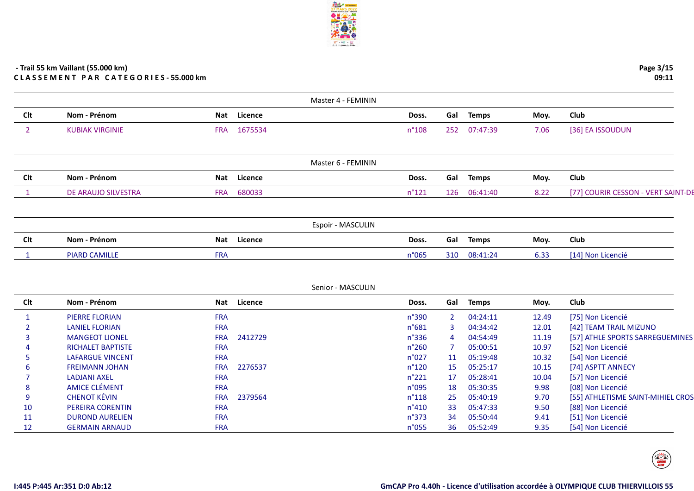|                |                          |            |                | Master 4 - FEMININ |                |                |              |       |                                                        |
|----------------|--------------------------|------------|----------------|--------------------|----------------|----------------|--------------|-------|--------------------------------------------------------|
| Clt            | Nom - Prénom             | Nat        | Licence        |                    | Doss.          | Gal            | <b>Temps</b> | Moy.  | Club                                                   |
| $\overline{2}$ | <b>KUBIAK VIRGINIE</b>   | <b>FRA</b> | 1675534        |                    | n°108          | 252            | 07:47:39     | 7.06  | [36] EA ISSOUDUN                                       |
|                |                          |            |                |                    |                |                |              |       |                                                        |
|                |                          |            |                | Master 6 - FEMININ |                |                |              |       |                                                        |
| Clt            | Nom - Prénom             | <b>Nat</b> | <b>Licence</b> |                    | Doss.          |                | Gal Temps    | Moy.  | Club                                                   |
| 1              | DE ARAUJO SILVESTRA      | <b>FRA</b> | 680033         |                    | $n^{\circ}121$ | 126            | 06:41:40     | 8.22  | [77] COURIR CESSON - VERT SAINT-DE                     |
|                |                          |            |                |                    |                |                |              |       |                                                        |
|                |                          |            |                | Espoir - MASCULIN  |                |                |              |       |                                                        |
| Clt            | Nom - Prénom             | <b>Nat</b> | Licence        |                    | Doss.          | Gal            | <b>Temps</b> | Moy.  | Club                                                   |
| $\mathbf{1}$   | <b>PIARD CAMILLE</b>     | <b>FRA</b> |                |                    | n°065          | 310            | 08:41:24     | 6.33  | [14] Non Licencié                                      |
|                |                          |            |                |                    |                |                |              |       |                                                        |
|                |                          |            |                | Senior - MASCULIN  |                |                |              |       |                                                        |
| Clt            | Nom - Prénom             | <b>Nat</b> | <b>Licence</b> |                    | Doss.          | Gal            | <b>Temps</b> | Moy.  | Club                                                   |
| $\mathbf{1}$   | <b>PIERRE FLORIAN</b>    | <b>FRA</b> |                |                    | n°390          | $\overline{2}$ | 04:24:11     | 12.49 | [75] Non Licencié                                      |
|                | <b>LANIEL FLORIAN</b>    | <b>FRA</b> |                |                    | $n^{\circ}681$ | 3              | 04:34:42     | 12.01 | [42] TEAM TRAIL MIZUNO                                 |
| З              | <b>MANGEOT LIONEL</b>    | <b>FRA</b> | 2412729        |                    | n°336          | $\overline{4}$ | 04:54:49     | 11.19 | [57] ATHLE SPORTS SARREGUEMINES                        |
|                | <b>RICHALET BAPTISTE</b> | <b>FRA</b> |                |                    | $n^{\circ}260$ | -7             | 05:00:51     | 10.97 | [52] Non Licencié                                      |
|                | <b>LAFARGUE VINCENT</b>  | <b>FRA</b> |                |                    | n°027          | 11             | 05:19:48     | 10.32 | [54] Non Licencié                                      |
|                |                          |            |                |                    |                |                | 05:25:17     | 10.15 | [74] ASPTT ANNECY                                      |
|                | <b>FREIMANN JOHAN</b>    | <b>FRA</b> | 2276537        |                    | $n^{\circ}120$ | 15             |              |       |                                                        |
|                | <b>LADJANI AXEL</b>      | <b>FRA</b> |                |                    | $n^{\circ}221$ | 17             | 05:28:41     | 10.04 | [57] Non Licencié                                      |
| 8              | <b>AMICE CLÉMENT</b>     | <b>FRA</b> |                |                    | n°095          | 18             | 05:30:35     | 9.98  | [08] Non Licencié                                      |
| 9              | <b>CHENOT KÉVIN</b>      | <b>FRA</b> | 2379564        |                    | $n^{\circ}118$ | 25             | 05:40:19     | 9.70  |                                                        |
| 10             | PEREIRA CORENTIN         | <b>FRA</b> |                |                    | n°410          | 33             | 05:47:33     | 9.50  | [88] Non Licencié                                      |
| 11             | <b>DUROND AURELIEN</b>   | <b>FRA</b> |                |                    | $n^{\circ}373$ | 34             | 05:50:44     | 9.41  | [55] ATHLETISME SAINT-MIHIEL CROS<br>[51] Non Licencié |

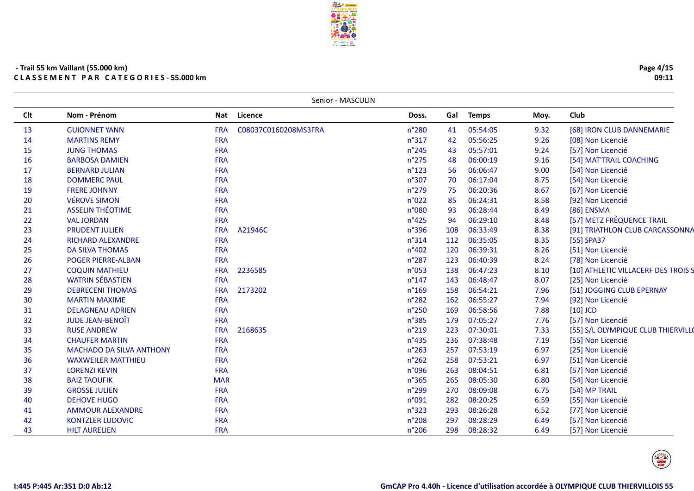**ERAL & BESCHIEF**<br>27 MARS 2022

|            |                                 |            | Senior - MASCULIN    |                 |     |              |      |                                     |
|------------|---------------------------------|------------|----------------------|-----------------|-----|--------------|------|-------------------------------------|
| <b>Clt</b> | Nom - Prénom                    | Nat        | <b>Licence</b>       | Doss.           | Gal | <b>Temps</b> | Moy. | <b>Club</b>                         |
| 13         | <b>GUIONNET YANN</b>            | <b>FRA</b> | C08037C0160208MS3FRA | n°280           | 41  | 05:54:05     | 9.32 | [68] IRON CLUB DANNEMARIE           |
| 14         | <b>MARTINS REMY</b>             | <b>FRA</b> |                      | n°317           | 42  | 05:56:25     | 9.26 | [08] Non Licencié                   |
| 15         | <b>JUNG THOMAS</b>              | <b>FRA</b> |                      | $n^{\circ}245$  | 43  | 05:57:01     | 9.24 | [57] Non Licencié                   |
| 16         | <b>BARBOSA DAMIEN</b>           | <b>FRA</b> |                      | $n^{\circ}275$  | 48  | 06:00:19     | 9.16 | [54] MAT'TRAIL COACHING             |
| 17         | <b>BERNARD JULIAN</b>           | <b>FRA</b> |                      | $n^{\circ}123$  | 56  | 06:06:47     | 9.00 | [54] Non Licencié                   |
| 18         | <b>DOMMERC PAUL</b>             | <b>FRA</b> |                      | n°307           | 70  | 06:17:04     | 8.75 | [54] Non Licencié                   |
| 19         | <b>FRERE JOHNNY</b>             | <b>FRA</b> |                      | n°279           | 75  | 06:20:36     | 8.67 | [67] Non Licencié                   |
| 20         | <b>VÉROVE SIMON</b>             | <b>FRA</b> |                      | n°022           | 85  | 06:24:31     | 8.58 | [92] Non Licencié                   |
| 21         | <b>ASSELIN THÉOTIME</b>         | <b>FRA</b> |                      | n°080           | 93  | 06:28:44     | 8.49 | [86] ENSMA                          |
| 22         | <b>VAL JORDAN</b>               | <b>FRA</b> |                      | $n^{\circ}425$  | 94  | 06:29:10     | 8.48 | [57] METZ FRÉQUENCE TRAIL           |
| 23         | <b>PRUDENT JULIEN</b>           | <b>FRA</b> | A21946C              | n°396           | 108 | 06:33:49     | 8.38 | [91] TRIATHLON CLUB CARCASSONNA     |
| 24         | <b>RICHARD ALEXANDRE</b>        | <b>FRA</b> |                      | $n^{\circ}314$  | 112 | 06:35:05     | 8.35 | [55] SPA37                          |
| 25         | <b>DA SILVA THOMAS</b>          | <b>FRA</b> |                      | n°402           | 120 | 06:39:31     | 8.26 | [51] Non Licencié                   |
| 26         | <b>POGER PIERRE-ALBAN</b>       | <b>FRA</b> |                      | n°287           | 123 | 06:40:39     | 8.24 | [78] Non Licencié                   |
| 27         | <b>COQUIN MATHIEU</b>           | <b>FRA</b> | 2236585              | n°053           | 138 | 06:47:23     | 8.10 | [10] ATHLETIC VILLACERF DES TROIS S |
| 28         | <b>WATRIN SÉBASTIEN</b>         | <b>FRA</b> |                      | $n^{\circ}$ 147 | 143 | 06:48:47     | 8.07 | [25] Non Licencié                   |
| 29         | <b>DEBRECENI THOMAS</b>         | <b>FRA</b> | 2173202              | n°169           | 158 | 06:54:21     | 7.96 | [51] JOGGING CLUB EPERNAY           |
| 30         | <b>MARTIN MAXIME</b>            | <b>FRA</b> |                      | $n^{\circ}282$  | 162 | 06:55:27     | 7.94 | [92] Non Licencié                   |
| 31         | <b>DELAGNEAU ADRIEN</b>         | <b>FRA</b> |                      | $n^{\circ}250$  | 169 | 06:58:56     | 7.88 | $[10]$ JCD                          |
| 32         | <b>JUDE JEAN-BENOÎT</b>         | <b>FRA</b> |                      | n°385           | 179 | 07:05:27     | 7.76 | [57] Non Licencié                   |
| 33         | <b>RUSE ANDREW</b>              | <b>FRA</b> | 2168635              | n°219           | 223 | 07:30:01     | 7.33 | [55] S/L OLYMPIQUE CLUB THIERVILLO  |
| 34         | <b>CHAUFER MARTIN</b>           | <b>FRA</b> |                      | n°435           | 236 | 07:38:48     | 7.19 | [55] Non Licencié                   |
| 35         | <b>MACHADO DA SILVA ANTHONY</b> | <b>FRA</b> |                      | n°263           | 257 | 07:53:19     | 6.97 | [25] Non Licencié                   |
| 36         | <b>WAXWEILER MATTHIEU</b>       | <b>FRA</b> |                      | $n^{\circ}262$  | 258 | 07:53:21     | 6.97 | [51] Non Licencié                   |
| 37         | <b>LORENZI KEVIN</b>            | <b>FRA</b> |                      | n°096           | 263 | 08:04:51     | 6.81 | [57] Non Licencié                   |
| 38         | <b>BAIZ TAOUFIK</b>             | <b>MAR</b> |                      | n°365           | 265 | 08:05:30     | 6.80 | [54] Non Licencié                   |
| 39         | <b>GROSSE JULIEN</b>            | <b>FRA</b> |                      | n°299           | 270 | 08:09:08     | 6.75 | [54] MP TRAIL                       |
| 40         | <b>DEHOVE HUGO</b>              | <b>FRA</b> |                      | n°091           | 282 | 08:20:25     | 6.59 | [55] Non Licencié                   |
| 41         | <b>AMMOUR ALEXANDRE</b>         | <b>FRA</b> |                      | n°323           | 293 | 08:26:28     | 6.52 | [77] Non Licencié                   |
| 42         | <b>KONTZLER LUDOVIC</b>         | <b>FRA</b> |                      | n°208           | 297 | 08:28:29     | 6.49 | [57] Non Licencié                   |
| 43         | <b>HILT AURELIEN</b>            | <b>FRA</b> |                      | n°206           | 298 | 08:28:32     | 6.49 | [57] Non Licencié                   |

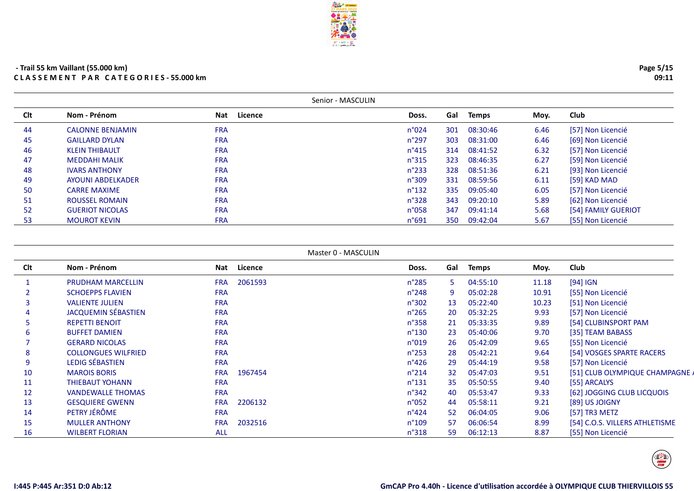|     |                         | Senior - MASCULIN |                 |     |              |      |                     |
|-----|-------------------------|-------------------|-----------------|-----|--------------|------|---------------------|
| Clt | Nom - Prénom            | Licence<br>Nat    | Doss.           | Gal | <b>Temps</b> | Moy. | <b>Club</b>         |
| 44  | <b>CALONNE BENJAMIN</b> | <b>FRA</b>        | $n^{\circ}024$  | 301 | 08:30:46     | 6.46 | [57] Non Licencié   |
| 45  | <b>GAILLARD DYLAN</b>   | <b>FRA</b>        | $n^{\circ}297$  | 303 | 08:31:00     | 6.46 | [69] Non Licencié   |
| 46  | <b>KLEIN THIBAULT</b>   | <b>FRA</b>        | $n^{\circ}415$  | 314 | 08:41:52     | 6.32 | [57] Non Licencié   |
| 47  | <b>MEDDAHI MALIK</b>    | <b>FRA</b>        | $n^{\circ}315$  | 323 | 08:46:35     | 6.27 | [59] Non Licencié   |
| 48  | <b>IVARS ANTHONY</b>    | <b>FRA</b>        | $n^{\circ}$ 233 | 328 | 08:51:36     | 6.21 | [93] Non Licencié   |
| 49  | AYOUNI ABDELKADER       | <b>FRA</b>        | n°309           | 331 | 08:59:56     | 6.11 | [59] KAD MAD        |
| 50  | <b>CARRE MAXIME</b>     | <b>FRA</b>        | $n^{\circ}$ 132 | 335 | 09:05:40     | 6.05 | [57] Non Licencié   |
| 51  | <b>ROUSSEL ROMAIN</b>   | <b>FRA</b>        | $n^{\circ}328$  | 343 | 09:20:10     | 5.89 | [62] Non Licencié   |
| 52  | <b>GUERIOT NICOLAS</b>  | <b>FRA</b>        | n°058           | 347 | 09:41:14     | 5.68 | [54] FAMILY GUERIOT |
| 53  | <b>MOUROT KEVIN</b>     | <b>FRA</b>        | n°691           | 350 | 09:42:04     | 5.67 | [55] Non Licencié   |

```
Master 0 - MASCULIN
```

| <b>Clt</b> | Nom - Prénom               | Nat        | Licence | Doss.           | Gal | <b>Temps</b> | Moy.  | Club                            |
|------------|----------------------------|------------|---------|-----------------|-----|--------------|-------|---------------------------------|
|            | <b>PRUDHAM MARCELLIN</b>   | <b>FRA</b> | 2061593 | $n^{\circ}285$  | 5.  | 04:55:10     | 11.18 | [94] IGN                        |
|            | <b>SCHOEPPS FLAVIEN</b>    | <b>FRA</b> |         | $n^{\circ}$ 248 | 9   | 05:02:28     | 10.91 | [55] Non Licencié               |
|            | <b>VALIENTE JULIEN</b>     | <b>FRA</b> |         | n°302           | 13  | 05:22:40     | 10.23 | [51] Non Licencié               |
| 4          | <b>JACQUEMIN SÉBASTIEN</b> | <b>FRA</b> |         | $n^{\circ}265$  | 20  | 05:32:25     | 9.93  | [57] Non Licencié               |
| 5          | <b>REPETTI BENOIT</b>      | <b>FRA</b> |         | $n^{\circ}358$  | 21  | 05:33:35     | 9.89  | [54] CLUBINSPORT PAM            |
| b          | <b>BUFFET DAMIEN</b>       | <b>FRA</b> |         | $n^{\circ}130$  | 23  | 05:40:06     | 9.70  | [35] TEAM BABASS                |
|            | <b>GERARD NICOLAS</b>      | <b>FRA</b> |         | n°019           | 26  | 05:42:09     | 9.65  | [55] Non Licencié               |
| 8          | <b>COLLONGUES WILFRIED</b> | <b>FRA</b> |         | $n^{\circ}253$  | 28  | 05:42:21     | 9.64  | [54] VOSGES SPARTE RACERS       |
| 9          | LEDIG SÉBASTIEN            | <b>FRA</b> |         | $n^{\circ}426$  | 29  | 05:44:19     | 9.58  | [57] Non Licencié               |
| 10         | <b>MAROIS BORIS</b>        | <b>FRA</b> | 1967454 | $n^{\circ}214$  | 32  | 05:47:03     | 9.51  | [51] CLUB OLYMPIQUE CHAMPAGNE / |
| 11         | <b>THIEBAUT YOHANN</b>     | <b>FRA</b> |         | $n^{\circ}$ 131 | 35  | 05:50:55     | 9.40  | [55] ARCALYS                    |
| 12         | <b>VANDEWALLE THOMAS</b>   | <b>FRA</b> |         | $n^{\circ}342$  | 40  | 05:53:47     | 9.33  | [62] JOGGING CLUB LICQUOIS      |
| 13         | <b>GESQUIERE GWENN</b>     | <b>FRA</b> | 2206132 | $n^{\circ}052$  | 44  | 05:58:11     | 9.21  | [89] US JOIGNY                  |
| 14         | PETRY JÉRÔME               | <b>FRA</b> |         | $n^{\circ}424$  | 52  | 06:04:05     | 9.06  | [57] TR3 METZ                   |
| 15         | <b>MULLER ANTHONY</b>      | <b>FRA</b> | 2032516 | $n^{\circ}109$  | 57  | 06:06:54     | 8.99  | [54] C.O.S. VILLERS ATHLETISME  |
| 16         | <b>WILBERT FLORIAN</b>     | <b>ALL</b> |         | $n^{\circ}318$  | 59. | 06:12:13     | 8.87  | [55] Non Licencié               |

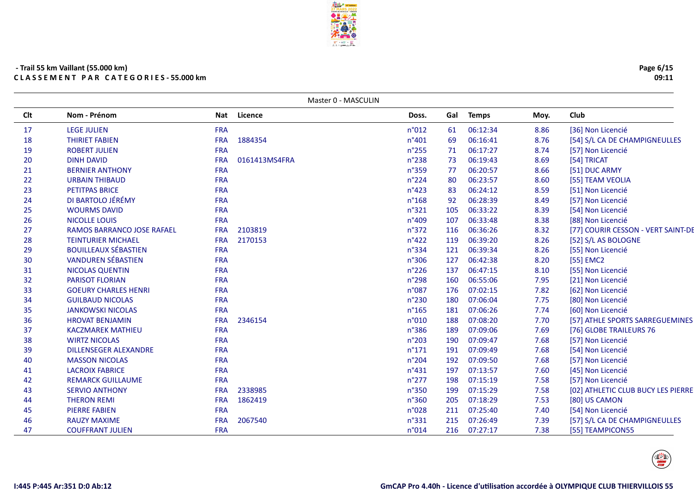|            |                                   |            | Master 0 - MASCULIN |                |     |              |      |                                    |
|------------|-----------------------------------|------------|---------------------|----------------|-----|--------------|------|------------------------------------|
| <b>Clt</b> | Nom - Prénom                      | Nat        | Licence             | Doss.          | Gal | <b>Temps</b> | Moy. | Club                               |
| 17         | <b>LEGE JULIEN</b>                | <b>FRA</b> |                     | n°012          | 61  | 06:12:34     | 8.86 | [36] Non Licencié                  |
| 18         | <b>THIRIET FABIEN</b>             | <b>FRA</b> | 1884354             | n°401          | 69  | 06:16:41     | 8.76 | [54] S/L CA DE CHAMPIGNEULLES      |
| 19         | <b>ROBERT JULIEN</b>              | <b>FRA</b> |                     | n°255          | 71  | 06:17:27     | 8.74 | [57] Non Licencié                  |
| 20         | <b>DINH DAVID</b>                 | <b>FRA</b> | 0161413MS4FRA       | n°238          | 73  | 06:19:43     | 8.69 | [54] TRICAT                        |
| 21         | <b>BERNIER ANTHONY</b>            | <b>FRA</b> |                     | n°359          | 77  | 06:20:57     | 8.66 | [51] DUC ARMY                      |
| 22         | <b>URBAIN THIBAUD</b>             | <b>FRA</b> |                     | $n^{\circ}224$ | 80  | 06:23:57     | 8.60 | [55] TEAM VEOLIA                   |
| 23         | <b>PETITPAS BRICE</b>             | <b>FRA</b> |                     | $n^{\circ}423$ | 83  | 06:24:12     | 8.59 | [51] Non Licencié                  |
| 24         | DI BARTOLO JÉRÉMY                 | <b>FRA</b> |                     | $n^{\circ}168$ | 92  | 06:28:39     | 8.49 | [57] Non Licencié                  |
| 25         | <b>WOURMS DAVID</b>               | <b>FRA</b> |                     | n°321          | 105 | 06:33:22     | 8.39 | [54] Non Licencié                  |
| 26         | <b>NICOLLE LOUIS</b>              | <b>FRA</b> |                     | n°409          | 107 | 06:33:48     | 8.38 | [88] Non Licencié                  |
| 27         | <b>RAMOS BARRANCO JOSE RAFAEL</b> | <b>FRA</b> | 2103819             | $n^{\circ}372$ | 116 | 06:36:26     | 8.32 | [77] COURIR CESSON - VERT SAINT-DE |
| 28         | <b>TEINTURIER MICHAEL</b>         | <b>FRA</b> | 2170153             | $n^{\circ}422$ | 119 | 06:39:20     | 8.26 | [52] S/L AS BOLOGNE                |
| 29         | <b>BOUILLEAUX SÉBASTIEN</b>       | <b>FRA</b> |                     | n°334          | 121 | 06:39:34     | 8.26 | [55] Non Licencié                  |
| 30         | <b>VANDUREN SÉBASTIEN</b>         | <b>FRA</b> |                     | n°306          | 127 | 06:42:38     | 8.20 | [55] EMC2                          |
| 31         | <b>NICOLAS QUENTIN</b>            | <b>FRA</b> |                     | $n^{\circ}226$ | 137 | 06:47:15     | 8.10 | [55] Non Licencié                  |
| 32         | <b>PARISOT FLORIAN</b>            | <b>FRA</b> |                     | n°298          | 160 | 06:55:06     | 7.95 | [21] Non Licencié                  |
| 33         | <b>GOEURY CHARLES HENRI</b>       | <b>FRA</b> |                     | n°087          | 176 | 07:02:15     | 7.82 | [62] Non Licencié                  |
| 34         | <b>GUILBAUD NICOLAS</b>           | <b>FRA</b> |                     | n°230          | 180 | 07:06:04     | 7.75 | [80] Non Licencié                  |
| 35         | <b>JANKOWSKI NICOLAS</b>          | <b>FRA</b> |                     | $n^{\circ}165$ | 181 | 07:06:26     | 7.74 | [60] Non Licencié                  |
| 36         | <b>HROVAT BENJAMIN</b>            | <b>FRA</b> | 2346154             | n°010          | 188 | 07:08:20     | 7.70 | [57] ATHLE SPORTS SARREGUEMINES    |
| 37         | <b>KACZMAREK MATHIEU</b>          | <b>FRA</b> |                     | n°386          | 189 | 07:09:06     | 7.69 | [76] GLOBE TRAILEURS 76            |
| 38         | <b>WIRTZ NICOLAS</b>              | <b>FRA</b> |                     | n°203          | 190 | 07:09:47     | 7.68 | [57] Non Licencié                  |
| 39         | <b>DILLENSEGER ALEXANDRE</b>      | <b>FRA</b> |                     | $n^{\circ}171$ | 191 | 07:09:49     | 7.68 | [54] Non Licencié                  |
| 40         | <b>MASSON NICOLAS</b>             | <b>FRA</b> |                     | $n^{\circ}204$ | 192 | 07:09:50     | 7.68 | [57] Non Licencié                  |
| 41         | <b>LACROIX FABRICE</b>            | <b>FRA</b> |                     | $n^{\circ}431$ | 197 | 07:13:57     | 7.60 | [45] Non Licencié                  |
| 42         | <b>REMARCK GUILLAUME</b>          | <b>FRA</b> |                     | $n^{\circ}277$ | 198 | 07:15:19     | 7.58 | [57] Non Licencié                  |
| 43         | <b>SERVIO ANTHONY</b>             | <b>FRA</b> | 2338985             | n°350          | 199 | 07:15:29     | 7.58 | [02] ATHLETIC CLUB BUCY LES PIERRE |
| 44         | <b>THERON REMI</b>                | <b>FRA</b> | 1862419             | n°360          | 205 | 07:18:29     | 7.53 | [80] US CAMON                      |
| 45         | <b>PIERRE FABIEN</b>              | <b>FRA</b> |                     | n°028          | 211 | 07:25:40     | 7.40 | [54] Non Licencié                  |
| 46         | <b>RAUZY MAXIME</b>               | <b>FRA</b> | 2067540             | $n^{\circ}331$ | 215 | 07:26:49     | 7.39 | [57] S/L CA DE CHAMPIGNEULLES      |
| 47         | <b>COUFFRANT JULIEN</b>           | <b>FRA</b> |                     | n°014          | 216 | 07:27:17     | 7.38 | [55] TEAMPICON55                   |
|            |                                   |            |                     |                |     |              |      |                                    |





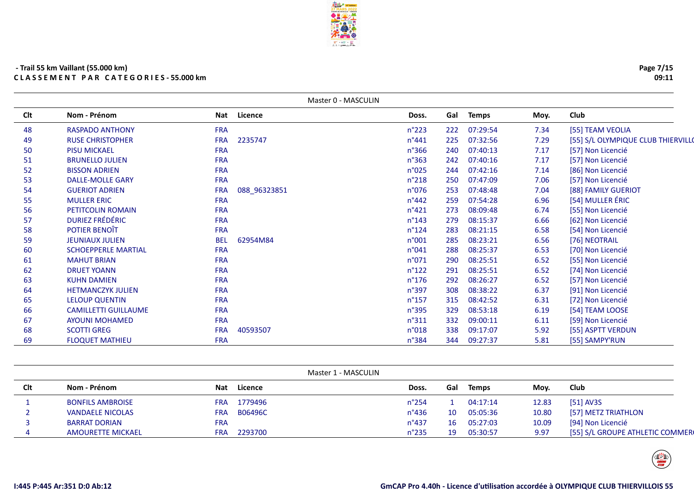|     |                             |            |              | Master 0 - MASCULIN |     |              |      |                                    |
|-----|-----------------------------|------------|--------------|---------------------|-----|--------------|------|------------------------------------|
| Clt | Nom - Prénom                | Nat        | Licence      | Doss.               | Gal | <b>Temps</b> | Moy. | Club                               |
| 48  | <b>RASPADO ANTHONY</b>      | <b>FRA</b> |              | $n^{\circ}223$      | 222 | 07:29:54     | 7.34 | [55] TEAM VEOLIA                   |
| 49  | <b>RUSE CHRISTOPHER</b>     | <b>FRA</b> | 2235747      | $n^{\circ}441$      | 225 | 07:32:56     | 7.29 | [55] S/L OLYMPIQUE CLUB THIERVILLO |
| 50  | <b>PISU MICKAEL</b>         | <b>FRA</b> |              | $n^{\circ}366$      | 240 | 07:40:13     | 7.17 | [57] Non Licencié                  |
| 51  | <b>BRUNELLO JULIEN</b>      | <b>FRA</b> |              | $n^{\circ}363$      | 242 | 07:40:16     | 7.17 | [57] Non Licencié                  |
| 52  | <b>BISSON ADRIEN</b>        | <b>FRA</b> |              | n°025               | 244 | 07:42:16     | 7.14 | [86] Non Licencié                  |
| 53  | <b>DALLE-MOLLE GARY</b>     | <b>FRA</b> |              | $n^{\circ}218$      | 250 | 07:47:09     | 7.06 | [57] Non Licencié                  |
| 54  | <b>GUERIOT ADRIEN</b>       | <b>FRA</b> | 088_96323851 | n°076               | 253 | 07:48:48     | 7.04 | [88] FAMILY GUERIOT                |
| 55  | <b>MULLER ERIC</b>          | <b>FRA</b> |              | $n^{\circ}442$      | 259 | 07:54:28     | 6.96 | [54] MULLER ÉRIC                   |
| 56  | PETITCOLIN ROMAIN           | <b>FRA</b> |              | $n^{\circ}421$      | 273 | 08:09:48     | 6.74 | [55] Non Licencié                  |
| 57  | <b>DURIEZ FRÉDÉRIC</b>      | <b>FRA</b> |              | $n^{\circ}$ 143     | 279 | 08:15:37     | 6.66 | [62] Non Licencié                  |
| 58  | POTIER BENOÎT               | <b>FRA</b> |              | $n^{\circ}124$      | 283 | 08:21:15     | 6.58 | [54] Non Licencié                  |
| 59  | <b>JEUNIAUX JULIEN</b>      | <b>BEL</b> | 62954M84     | n°001               | 285 | 08:23:21     | 6.56 | [76] NEOTRAIL                      |
| 60  | <b>SCHOEPPERLE MARTIAL</b>  | <b>FRA</b> |              | n°041               | 288 | 08:25:37     | 6.53 | [70] Non Licencié                  |
| 61  | <b>MAHUT BRIAN</b>          | <b>FRA</b> |              | n°071               | 290 | 08:25:51     | 6.52 | [55] Non Licencié                  |
| 62  | <b>DRUET YOANN</b>          | <b>FRA</b> |              | $n^{\circ}122$      | 291 | 08:25:51     | 6.52 | [74] Non Licencié                  |
| 63  | <b>KUHN DAMIEN</b>          | <b>FRA</b> |              | $n^{\circ}$ 176     | 292 | 08:26:27     | 6.52 | [57] Non Licencié                  |
| 64  | <b>HETMANCZYK JULIEN</b>    | <b>FRA</b> |              | n°397               | 308 | 08:38:22     | 6.37 | [91] Non Licencié                  |
| 65  | <b>LELOUP QUENTIN</b>       | <b>FRA</b> |              | $n^{\circ}$ 157     | 315 | 08:42:52     | 6.31 | [72] Non Licencié                  |
| 66  | <b>CAMILLETTI GUILLAUME</b> | <b>FRA</b> |              | n°395               | 329 | 08:53:18     | 6.19 | [54] TEAM LOOSE                    |
| 67  | <b>AYOUNI MOHAMED</b>       | <b>FRA</b> |              | $n^{\circ}311$      | 332 | 09:00:11     | 6.11 | [59] Non Licencié                  |
| 68  | <b>SCOTTI GREG</b>          | <b>FRA</b> | 40593507     | n°018               | 338 | 09:17:07     | 5.92 | [55] ASPTT VERDUN                  |
| 69  | <b>FLOQUET MATHIEU</b>      | <b>FRA</b> |              | n°384               | 344 | 09:27:37     | 5.81 | [55] SAMPY'RUN                     |

|     |                          |                       | Master 1 - MASCULIN |     |              |       |                                 |
|-----|--------------------------|-----------------------|---------------------|-----|--------------|-------|---------------------------------|
| Clt | Nom - Prénom             | Licence<br>Nat        | Doss.               | Gal | <b>Temps</b> | Moy.  | Club                            |
|     | <b>BONFILS AMBROISE</b>  | 1779496<br><b>FRA</b> | $n^{\circ}$ 254     |     | 04:17:14     | 12.83 | $[51]$ AV3S                     |
|     | <b>VANDAELE NICOLAS</b>  | B06496C<br><b>FRA</b> | $n^{\circ}$ 436     | 10  | 05:05:36     | 10.80 | [57] METZ TRIATHLON             |
|     | <b>BARRAT DORIAN</b>     | <b>FRA</b>            | $n^{\circ}437$      | 16  | 05:27:03     | 10.09 | [94] Non Licencié               |
|     | <b>AMOURETTE MICKAEL</b> | 2293700<br>FRA        | $n^{\circ}$ 235     | 19  | 05:30:57     | 9.97  | [55] S/L GROUPE ATHLETIC COMMER |



**Page 7/1509:11**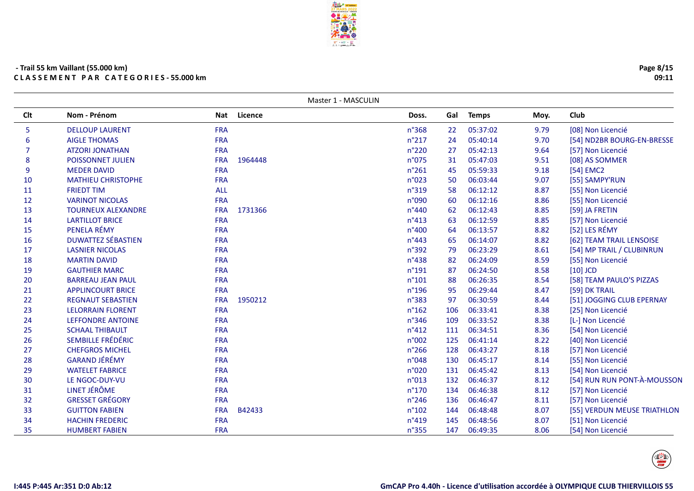| - Trail 55 km Vaillant (55.000 km) |                                            |
|------------------------------------|--------------------------------------------|
|                                    | <b>CLASSEMENT PAR CATEGORIES-55.000 km</b> |

 $\overline{\phantom{0}}$ 

|     |                           |            |         | Master 1 - MASCULIN |                 |     |              |      |                             |
|-----|---------------------------|------------|---------|---------------------|-----------------|-----|--------------|------|-----------------------------|
| Clt | Nom - Prénom              | Nat        | Licence |                     | Doss.           | Gal | <b>Temps</b> | Moy. | Club                        |
| 5   | <b>DELLOUP LAURENT</b>    | <b>FRA</b> |         |                     | n°368           | 22  | 05:37:02     | 9.79 | [08] Non Licencié           |
| 6   | <b>AIGLE THOMAS</b>       | <b>FRA</b> |         |                     | $n^{\circ}217$  | 24  | 05:40:14     | 9.70 | [54] ND2BR BOURG-EN-BRESSE  |
| 7   | <b>ATZORI JONATHAN</b>    | <b>FRA</b> |         |                     | $n^{\circ}220$  | 27  | 05:42:13     | 9.64 | [57] Non Licencié           |
| 8   | POISSONNET JULIEN         | <b>FRA</b> | 1964448 |                     | n°075           | 31  | 05:47:03     | 9.51 | [08] AS SOMMER              |
| 9   | <b>MEDER DAVID</b>        | <b>FRA</b> |         |                     | $n^{\circ}261$  | 45  | 05:59:33     | 9.18 | [54] EMC2                   |
| 10  | <b>MATHIEU CHRISTOPHE</b> | <b>FRA</b> |         |                     | n°023           | 50  | 06:03:44     | 9.07 | [55] SAMPY'RUN              |
| 11  | <b>FRIEDT TIM</b>         | <b>ALL</b> |         |                     | n°319           | 58  | 06:12:12     | 8.87 | [55] Non Licencié           |
| 12  | <b>VARINOT NICOLAS</b>    | <b>FRA</b> |         |                     | n°090           | 60  | 06:12:16     | 8.86 | [55] Non Licencié           |
| 13  | <b>TOURNEUX ALEXANDRE</b> | <b>FRA</b> | 1731366 |                     | n°440           | 62  | 06:12:43     | 8.85 | [59] JA FRETIN              |
| 14  | <b>LARTILLOT BRICE</b>    | <b>FRA</b> |         |                     | $n^{\circ}413$  | 63  | 06:12:59     | 8.85 | [57] Non Licencié           |
| 15  | PENELA RÉMY               | <b>FRA</b> |         |                     | n°400           | 64  | 06:13:57     | 8.82 | [52] LES RÉMY               |
| 16  | <b>DUWATTEZ SÉBASTIEN</b> | <b>FRA</b> |         |                     | $n^{\circ}443$  | 65  | 06:14:07     | 8.82 | [62] TEAM TRAIL LENSOISE    |
| 17  | <b>LASNIER NICOLAS</b>    | <b>FRA</b> |         |                     | $n^{\circ}392$  | 79  | 06:23:29     | 8.61 | [54] MP TRAIL / CLUBINRUN   |
| 18  | <b>MARTIN DAVID</b>       | <b>FRA</b> |         |                     | n°438           | 82  | 06:24:09     | 8.59 | [55] Non Licencié           |
| 19  | <b>GAUTHIER MARC</b>      | <b>FRA</b> |         |                     | $n^{\circ}$ 191 | 87  | 06:24:50     | 8.58 | $[10]$ JCD                  |
| 20  | <b>BARREAU JEAN PAUL</b>  | <b>FRA</b> |         |                     | $n^{\circ}101$  | 88  | 06:26:35     | 8.54 | [58] TEAM PAULO'S PIZZAS    |
| 21  | <b>APPLINCOURT BRICE</b>  | <b>FRA</b> |         |                     | $n^{\circ}$ 196 | 95  | 06:29:44     | 8.47 | [59] DK TRAIL               |
| 22  | <b>REGNAUT SEBASTIEN</b>  | <b>FRA</b> | 1950212 |                     | $n^{\circ}383$  | 97  | 06:30:59     | 8.44 | [51] JOGGING CLUB EPERNAY   |
| 23  | <b>LELORRAIN FLORENT</b>  | <b>FRA</b> |         |                     | $n^{\circ}162$  | 106 | 06:33:41     | 8.38 | [25] Non Licencié           |
| 24  | <b>LEFFONDRE ANTOINE</b>  | <b>FRA</b> |         |                     | $n^{\circ}346$  | 109 | 06:33:52     | 8.38 | [L-] Non Licencié           |
| 25  | <b>SCHAAL THIBAULT</b>    | <b>FRA</b> |         |                     | $n^{\circ}412$  | 111 | 06:34:51     | 8.36 | [54] Non Licencié           |
| 26  | SEMBILLE FRÉDÉRIC         | <b>FRA</b> |         |                     | n°002           | 125 | 06:41:14     | 8.22 | [40] Non Licencié           |
| 27  | <b>CHEFGROS MICHEL</b>    | <b>FRA</b> |         |                     | $n^{\circ}266$  | 128 | 06:43:27     | 8.18 | [57] Non Licencié           |
| 28  | <b>GARAND JÉRÉMY</b>      | <b>FRA</b> |         |                     | n°048           | 130 | 06:45:17     | 8.14 | [55] Non Licencié           |
| 29  | <b>WATELET FABRICE</b>    | <b>FRA</b> |         |                     | n°020           | 131 | 06:45:42     | 8.13 | [54] Non Licencié           |
| 30  | LE NGOC-DUY-VU            | <b>FRA</b> |         |                     | n°013           | 132 | 06:46:37     | 8.12 | [54] RUN RUN PONT-À-MOUSSON |
| 31  | LINET JÉRÔME              | <b>FRA</b> |         |                     | $n^{\circ}170$  | 134 | 06:46:38     | 8.12 | [57] Non Licencié           |
| 32  | <b>GRESSET GRÉGORY</b>    | <b>FRA</b> |         |                     | $n^{\circ}$ 246 | 136 | 06:46:47     | 8.11 | [57] Non Licencié           |
| 33  | <b>GUITTON FABIEN</b>     | <b>FRA</b> | B42433  |                     | n°102           | 144 | 06:48:48     | 8.07 | [55] VERDUN MEUSE TRIATHLON |
| 34  | <b>HACHIN FREDERIC</b>    | <b>FRA</b> |         |                     | n°419           | 145 | 06:48:56     | 8.07 | [51] Non Licencié           |
| 35  | <b>HUMBERT FABIEN</b>     | <b>FRA</b> |         |                     | n°355           | 147 | 06:49:35     | 8.06 | [54] Non Licencié           |

**Page 8/1509:11**



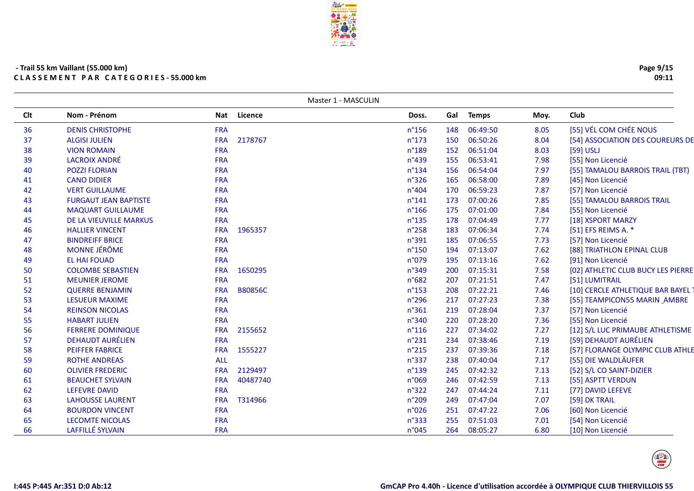| Nom - Prénom<br>Nat Licence<br>Gal<br><b>Temps</b><br>Club<br>Moy.<br>Doss.<br>[55] VÉL COM CHÉE NOUS<br>06:49:50<br><b>DENIS CHRISTOPHE</b><br><b>FRA</b><br>$n^{\circ}$ 156<br>148<br>8.05<br>2178767<br>$n^{\circ}173$<br>06:50:26<br><b>ALGISI JULIEN</b><br><b>FRA</b><br>150<br>8.04<br><b>VION ROMAIN</b><br><b>FRA</b><br>n°189<br>06:51:04<br>$[59]$ USLJ<br>152<br>8.03<br><b>LACROIX ANDRÉ</b><br>n°439<br>06:53:41<br>[55] Non Licencié<br><b>FRA</b><br>155<br>7.98<br>$n^{\circ}$ 134<br>06:54:04<br><b>POZZI FLORIAN</b><br><b>FRA</b><br>156<br>7.97<br><b>CANO DIDIER</b><br><b>FRA</b><br>n°326<br>165<br>06:58:00<br>7.89<br>[45] Non Licencié<br><b>VERT GUILLAUME</b><br><b>FRA</b><br>$n^{\circ}404$<br>170<br>06:59:23<br>7.87<br>[57] Non Licencié<br>$n^{\circ}141$<br><b>FURGAUT JEAN BAPTISTE</b><br><b>FRA</b><br>173<br>07:00:26<br>7.85<br>[55] TAMALOU BARROIS TRAIL<br>$n^{\circ}166$<br>07:01:00<br><b>MAQUART GUILLAUME</b><br><b>FRA</b><br>175<br>7.84<br>[55] Non Licencié<br>$n^{\circ}$ 135<br>07:04:49<br>DE LA VIEUVILLE MARKUS<br><b>FRA</b><br>178<br>7.77<br>[18] XSPORT MARZY<br><b>HALLIER VINCENT</b><br>1965357<br>n°258<br>183<br>07:06:34<br>[51] EFS REIMS A. *<br><b>FRA</b><br>7.74<br><b>BINDREIFF BRICE</b><br><b>FRA</b><br>n°391<br>185<br>07:06:55<br>[57] Non Licencié<br>7.73<br>MONNE JÉRÔME<br><b>FRA</b><br>$n^{\circ}$ 150<br>07:13:07<br>7.62<br>[88] TRIATHLON EPINAL CLUB<br>194<br><b>EL HAI FOUAD</b><br>n°079<br>07:13:16<br>7.62<br>[91] Non Licencié<br><b>FRA</b><br>195<br><b>COLOMBE SEBASTIEN</b><br>n°349<br>200<br>07:15:31<br><b>FRA</b><br>1650295<br>7.58<br><b>MEUNIER JEROME</b><br><b>FRA</b><br>n°682<br>207<br>07:21:51<br>7.47<br>[51] LUMITRAIL<br>$n^{\circ}$ 153<br>07:22:21<br><b>QUERRE BENJAMIN</b><br><b>FRA</b><br><b>B80856C</b><br>208<br>7.46<br><b>FRA</b><br>n°296<br>07:27:23<br>7.38<br><b>LESUEUR MAXIME</b><br>217<br>[55] TEAMPICON55 MARIN AMBRE<br><b>FRA</b><br>n°361<br>219<br>07:28:04<br>7.37<br><b>REINSON NICOLAS</b><br>[57] Non Licencié<br>n°340<br>220<br>07:28:20<br>[55] Non Licencié<br><b>HABART JULIEN</b><br><b>FRA</b><br>7.36<br>227<br><b>FERRERE DOMINIQUE</b><br>2155652<br>$n^{\circ}116$<br>07:34:02<br>7.27<br><b>FRA</b><br><b>DEHAUDT AURÉLIEN</b><br>[59] DEHAUDT AURÉLIEN<br>FRA<br>$n^{\circ}231$<br>234<br>07:38:46<br>7.19<br><b>PEIFFER FABRICE</b><br><b>FRA</b><br>1555227<br>$n^{\circ}215$<br>237<br>07:39:36<br>7.18<br><b>ALL</b><br>[55] DIE WALDLÄUFER<br><b>ROTHE ANDREAS</b><br>$n^{\circ}337$<br>238<br>07:40:04<br>7.17<br>$n^{\circ}$ 139<br>2129497<br>245<br>07:42:32<br>7.13<br>[52] S/L CO SAINT-DIZIER<br><b>OLIVIER FREDERIC</b><br><b>FRA</b><br><b>FRA</b><br>40487740<br>07:42:59<br>7.13<br>[55] ASPTT VERDUN<br><b>BEAUCHET SYLVAIN</b><br>n°069<br>246<br><b>LEFEVRE DAVID</b><br><b>FRA</b><br>n°322<br>07:44:24<br>[77] DAVID LEFEVE<br>247<br>7.11<br>n°209<br>07:47:04<br>[59] DK TRAIL<br><b>LAHOUSSE LAURENT</b><br><b>FRA</b><br>T314966<br>249<br>7.07<br><b>FRA</b><br>07:47:22<br>[60] Non Licencié<br><b>BOURDON VINCENT</b><br>n°026<br>251<br>7.06<br><b>LECOMTE NICOLAS</b><br>n°333<br>255<br>07:51:03<br>[54] Non Licencié<br><b>FRA</b><br>7.01<br>LAFFILLÉ SYLVAIN<br><b>FRA</b><br>n°045<br>264<br>08:05:27<br>6.80<br>[10] Non Licencié |     |  | Master 1 - MASCULIN |  |  |  |
|---------------------------------------------------------------------------------------------------------------------------------------------------------------------------------------------------------------------------------------------------------------------------------------------------------------------------------------------------------------------------------------------------------------------------------------------------------------------------------------------------------------------------------------------------------------------------------------------------------------------------------------------------------------------------------------------------------------------------------------------------------------------------------------------------------------------------------------------------------------------------------------------------------------------------------------------------------------------------------------------------------------------------------------------------------------------------------------------------------------------------------------------------------------------------------------------------------------------------------------------------------------------------------------------------------------------------------------------------------------------------------------------------------------------------------------------------------------------------------------------------------------------------------------------------------------------------------------------------------------------------------------------------------------------------------------------------------------------------------------------------------------------------------------------------------------------------------------------------------------------------------------------------------------------------------------------------------------------------------------------------------------------------------------------------------------------------------------------------------------------------------------------------------------------------------------------------------------------------------------------------------------------------------------------------------------------------------------------------------------------------------------------------------------------------------------------------------------------------------------------------------------------------------------------------------------------------------------------------------------------------------------------------------------------------------------------------------------------------------------------------------------------------------------------------------------------------------------------------------------------------------------------------------------------------------------------------------------------------------------------------------------------------------------------------------------------------------------------------------------------------------------------------------------------------------------------------------------------------------------------------------------------------------------------------------------------------------|-----|--|---------------------|--|--|--|
| [55] TAMALOU BARROIS TRAIL (TBT)                                                                                                                                                                                                                                                                                                                                                                                                                                                                                                                                                                                                                                                                                                                                                                                                                                                                                                                                                                                                                                                                                                                                                                                                                                                                                                                                                                                                                                                                                                                                                                                                                                                                                                                                                                                                                                                                                                                                                                                                                                                                                                                                                                                                                                                                                                                                                                                                                                                                                                                                                                                                                                                                                                                                                                                                                                                                                                                                                                                                                                                                                                                                                                                                                                                                                                | Clt |  |                     |  |  |  |
| [54] ASSOCIATION DES COUREURS DE<br>[02] ATHLETIC CLUB BUCY LES PIERRE<br>[10] CERCLE ATHLETIQUE BAR BAYEL<br>[12] S/L LUC PRIMAUBE ATHLETISME<br>[57] FLORANGE OLYMPIC CLUB ATHLE                                                                                                                                                                                                                                                                                                                                                                                                                                                                                                                                                                                                                                                                                                                                                                                                                                                                                                                                                                                                                                                                                                                                                                                                                                                                                                                                                                                                                                                                                                                                                                                                                                                                                                                                                                                                                                                                                                                                                                                                                                                                                                                                                                                                                                                                                                                                                                                                                                                                                                                                                                                                                                                                                                                                                                                                                                                                                                                                                                                                                                                                                                                                              | 36  |  |                     |  |  |  |
|                                                                                                                                                                                                                                                                                                                                                                                                                                                                                                                                                                                                                                                                                                                                                                                                                                                                                                                                                                                                                                                                                                                                                                                                                                                                                                                                                                                                                                                                                                                                                                                                                                                                                                                                                                                                                                                                                                                                                                                                                                                                                                                                                                                                                                                                                                                                                                                                                                                                                                                                                                                                                                                                                                                                                                                                                                                                                                                                                                                                                                                                                                                                                                                                                                                                                                                                 | 37  |  |                     |  |  |  |
|                                                                                                                                                                                                                                                                                                                                                                                                                                                                                                                                                                                                                                                                                                                                                                                                                                                                                                                                                                                                                                                                                                                                                                                                                                                                                                                                                                                                                                                                                                                                                                                                                                                                                                                                                                                                                                                                                                                                                                                                                                                                                                                                                                                                                                                                                                                                                                                                                                                                                                                                                                                                                                                                                                                                                                                                                                                                                                                                                                                                                                                                                                                                                                                                                                                                                                                                 | 38  |  |                     |  |  |  |
|                                                                                                                                                                                                                                                                                                                                                                                                                                                                                                                                                                                                                                                                                                                                                                                                                                                                                                                                                                                                                                                                                                                                                                                                                                                                                                                                                                                                                                                                                                                                                                                                                                                                                                                                                                                                                                                                                                                                                                                                                                                                                                                                                                                                                                                                                                                                                                                                                                                                                                                                                                                                                                                                                                                                                                                                                                                                                                                                                                                                                                                                                                                                                                                                                                                                                                                                 | 39  |  |                     |  |  |  |
|                                                                                                                                                                                                                                                                                                                                                                                                                                                                                                                                                                                                                                                                                                                                                                                                                                                                                                                                                                                                                                                                                                                                                                                                                                                                                                                                                                                                                                                                                                                                                                                                                                                                                                                                                                                                                                                                                                                                                                                                                                                                                                                                                                                                                                                                                                                                                                                                                                                                                                                                                                                                                                                                                                                                                                                                                                                                                                                                                                                                                                                                                                                                                                                                                                                                                                                                 | 40  |  |                     |  |  |  |
|                                                                                                                                                                                                                                                                                                                                                                                                                                                                                                                                                                                                                                                                                                                                                                                                                                                                                                                                                                                                                                                                                                                                                                                                                                                                                                                                                                                                                                                                                                                                                                                                                                                                                                                                                                                                                                                                                                                                                                                                                                                                                                                                                                                                                                                                                                                                                                                                                                                                                                                                                                                                                                                                                                                                                                                                                                                                                                                                                                                                                                                                                                                                                                                                                                                                                                                                 | 41  |  |                     |  |  |  |
|                                                                                                                                                                                                                                                                                                                                                                                                                                                                                                                                                                                                                                                                                                                                                                                                                                                                                                                                                                                                                                                                                                                                                                                                                                                                                                                                                                                                                                                                                                                                                                                                                                                                                                                                                                                                                                                                                                                                                                                                                                                                                                                                                                                                                                                                                                                                                                                                                                                                                                                                                                                                                                                                                                                                                                                                                                                                                                                                                                                                                                                                                                                                                                                                                                                                                                                                 | 42  |  |                     |  |  |  |
|                                                                                                                                                                                                                                                                                                                                                                                                                                                                                                                                                                                                                                                                                                                                                                                                                                                                                                                                                                                                                                                                                                                                                                                                                                                                                                                                                                                                                                                                                                                                                                                                                                                                                                                                                                                                                                                                                                                                                                                                                                                                                                                                                                                                                                                                                                                                                                                                                                                                                                                                                                                                                                                                                                                                                                                                                                                                                                                                                                                                                                                                                                                                                                                                                                                                                                                                 | 43  |  |                     |  |  |  |
|                                                                                                                                                                                                                                                                                                                                                                                                                                                                                                                                                                                                                                                                                                                                                                                                                                                                                                                                                                                                                                                                                                                                                                                                                                                                                                                                                                                                                                                                                                                                                                                                                                                                                                                                                                                                                                                                                                                                                                                                                                                                                                                                                                                                                                                                                                                                                                                                                                                                                                                                                                                                                                                                                                                                                                                                                                                                                                                                                                                                                                                                                                                                                                                                                                                                                                                                 | 44  |  |                     |  |  |  |
|                                                                                                                                                                                                                                                                                                                                                                                                                                                                                                                                                                                                                                                                                                                                                                                                                                                                                                                                                                                                                                                                                                                                                                                                                                                                                                                                                                                                                                                                                                                                                                                                                                                                                                                                                                                                                                                                                                                                                                                                                                                                                                                                                                                                                                                                                                                                                                                                                                                                                                                                                                                                                                                                                                                                                                                                                                                                                                                                                                                                                                                                                                                                                                                                                                                                                                                                 | 45  |  |                     |  |  |  |
|                                                                                                                                                                                                                                                                                                                                                                                                                                                                                                                                                                                                                                                                                                                                                                                                                                                                                                                                                                                                                                                                                                                                                                                                                                                                                                                                                                                                                                                                                                                                                                                                                                                                                                                                                                                                                                                                                                                                                                                                                                                                                                                                                                                                                                                                                                                                                                                                                                                                                                                                                                                                                                                                                                                                                                                                                                                                                                                                                                                                                                                                                                                                                                                                                                                                                                                                 | 46  |  |                     |  |  |  |
|                                                                                                                                                                                                                                                                                                                                                                                                                                                                                                                                                                                                                                                                                                                                                                                                                                                                                                                                                                                                                                                                                                                                                                                                                                                                                                                                                                                                                                                                                                                                                                                                                                                                                                                                                                                                                                                                                                                                                                                                                                                                                                                                                                                                                                                                                                                                                                                                                                                                                                                                                                                                                                                                                                                                                                                                                                                                                                                                                                                                                                                                                                                                                                                                                                                                                                                                 | 47  |  |                     |  |  |  |
|                                                                                                                                                                                                                                                                                                                                                                                                                                                                                                                                                                                                                                                                                                                                                                                                                                                                                                                                                                                                                                                                                                                                                                                                                                                                                                                                                                                                                                                                                                                                                                                                                                                                                                                                                                                                                                                                                                                                                                                                                                                                                                                                                                                                                                                                                                                                                                                                                                                                                                                                                                                                                                                                                                                                                                                                                                                                                                                                                                                                                                                                                                                                                                                                                                                                                                                                 | 48  |  |                     |  |  |  |
|                                                                                                                                                                                                                                                                                                                                                                                                                                                                                                                                                                                                                                                                                                                                                                                                                                                                                                                                                                                                                                                                                                                                                                                                                                                                                                                                                                                                                                                                                                                                                                                                                                                                                                                                                                                                                                                                                                                                                                                                                                                                                                                                                                                                                                                                                                                                                                                                                                                                                                                                                                                                                                                                                                                                                                                                                                                                                                                                                                                                                                                                                                                                                                                                                                                                                                                                 | 49  |  |                     |  |  |  |
|                                                                                                                                                                                                                                                                                                                                                                                                                                                                                                                                                                                                                                                                                                                                                                                                                                                                                                                                                                                                                                                                                                                                                                                                                                                                                                                                                                                                                                                                                                                                                                                                                                                                                                                                                                                                                                                                                                                                                                                                                                                                                                                                                                                                                                                                                                                                                                                                                                                                                                                                                                                                                                                                                                                                                                                                                                                                                                                                                                                                                                                                                                                                                                                                                                                                                                                                 | 50  |  |                     |  |  |  |
|                                                                                                                                                                                                                                                                                                                                                                                                                                                                                                                                                                                                                                                                                                                                                                                                                                                                                                                                                                                                                                                                                                                                                                                                                                                                                                                                                                                                                                                                                                                                                                                                                                                                                                                                                                                                                                                                                                                                                                                                                                                                                                                                                                                                                                                                                                                                                                                                                                                                                                                                                                                                                                                                                                                                                                                                                                                                                                                                                                                                                                                                                                                                                                                                                                                                                                                                 | 51  |  |                     |  |  |  |
|                                                                                                                                                                                                                                                                                                                                                                                                                                                                                                                                                                                                                                                                                                                                                                                                                                                                                                                                                                                                                                                                                                                                                                                                                                                                                                                                                                                                                                                                                                                                                                                                                                                                                                                                                                                                                                                                                                                                                                                                                                                                                                                                                                                                                                                                                                                                                                                                                                                                                                                                                                                                                                                                                                                                                                                                                                                                                                                                                                                                                                                                                                                                                                                                                                                                                                                                 | 52  |  |                     |  |  |  |
|                                                                                                                                                                                                                                                                                                                                                                                                                                                                                                                                                                                                                                                                                                                                                                                                                                                                                                                                                                                                                                                                                                                                                                                                                                                                                                                                                                                                                                                                                                                                                                                                                                                                                                                                                                                                                                                                                                                                                                                                                                                                                                                                                                                                                                                                                                                                                                                                                                                                                                                                                                                                                                                                                                                                                                                                                                                                                                                                                                                                                                                                                                                                                                                                                                                                                                                                 | 53  |  |                     |  |  |  |
|                                                                                                                                                                                                                                                                                                                                                                                                                                                                                                                                                                                                                                                                                                                                                                                                                                                                                                                                                                                                                                                                                                                                                                                                                                                                                                                                                                                                                                                                                                                                                                                                                                                                                                                                                                                                                                                                                                                                                                                                                                                                                                                                                                                                                                                                                                                                                                                                                                                                                                                                                                                                                                                                                                                                                                                                                                                                                                                                                                                                                                                                                                                                                                                                                                                                                                                                 | 54  |  |                     |  |  |  |
|                                                                                                                                                                                                                                                                                                                                                                                                                                                                                                                                                                                                                                                                                                                                                                                                                                                                                                                                                                                                                                                                                                                                                                                                                                                                                                                                                                                                                                                                                                                                                                                                                                                                                                                                                                                                                                                                                                                                                                                                                                                                                                                                                                                                                                                                                                                                                                                                                                                                                                                                                                                                                                                                                                                                                                                                                                                                                                                                                                                                                                                                                                                                                                                                                                                                                                                                 | 55  |  |                     |  |  |  |
|                                                                                                                                                                                                                                                                                                                                                                                                                                                                                                                                                                                                                                                                                                                                                                                                                                                                                                                                                                                                                                                                                                                                                                                                                                                                                                                                                                                                                                                                                                                                                                                                                                                                                                                                                                                                                                                                                                                                                                                                                                                                                                                                                                                                                                                                                                                                                                                                                                                                                                                                                                                                                                                                                                                                                                                                                                                                                                                                                                                                                                                                                                                                                                                                                                                                                                                                 | 56  |  |                     |  |  |  |
|                                                                                                                                                                                                                                                                                                                                                                                                                                                                                                                                                                                                                                                                                                                                                                                                                                                                                                                                                                                                                                                                                                                                                                                                                                                                                                                                                                                                                                                                                                                                                                                                                                                                                                                                                                                                                                                                                                                                                                                                                                                                                                                                                                                                                                                                                                                                                                                                                                                                                                                                                                                                                                                                                                                                                                                                                                                                                                                                                                                                                                                                                                                                                                                                                                                                                                                                 | 57  |  |                     |  |  |  |
|                                                                                                                                                                                                                                                                                                                                                                                                                                                                                                                                                                                                                                                                                                                                                                                                                                                                                                                                                                                                                                                                                                                                                                                                                                                                                                                                                                                                                                                                                                                                                                                                                                                                                                                                                                                                                                                                                                                                                                                                                                                                                                                                                                                                                                                                                                                                                                                                                                                                                                                                                                                                                                                                                                                                                                                                                                                                                                                                                                                                                                                                                                                                                                                                                                                                                                                                 | 58  |  |                     |  |  |  |
|                                                                                                                                                                                                                                                                                                                                                                                                                                                                                                                                                                                                                                                                                                                                                                                                                                                                                                                                                                                                                                                                                                                                                                                                                                                                                                                                                                                                                                                                                                                                                                                                                                                                                                                                                                                                                                                                                                                                                                                                                                                                                                                                                                                                                                                                                                                                                                                                                                                                                                                                                                                                                                                                                                                                                                                                                                                                                                                                                                                                                                                                                                                                                                                                                                                                                                                                 | 59  |  |                     |  |  |  |
|                                                                                                                                                                                                                                                                                                                                                                                                                                                                                                                                                                                                                                                                                                                                                                                                                                                                                                                                                                                                                                                                                                                                                                                                                                                                                                                                                                                                                                                                                                                                                                                                                                                                                                                                                                                                                                                                                                                                                                                                                                                                                                                                                                                                                                                                                                                                                                                                                                                                                                                                                                                                                                                                                                                                                                                                                                                                                                                                                                                                                                                                                                                                                                                                                                                                                                                                 | 60  |  |                     |  |  |  |
|                                                                                                                                                                                                                                                                                                                                                                                                                                                                                                                                                                                                                                                                                                                                                                                                                                                                                                                                                                                                                                                                                                                                                                                                                                                                                                                                                                                                                                                                                                                                                                                                                                                                                                                                                                                                                                                                                                                                                                                                                                                                                                                                                                                                                                                                                                                                                                                                                                                                                                                                                                                                                                                                                                                                                                                                                                                                                                                                                                                                                                                                                                                                                                                                                                                                                                                                 | 61  |  |                     |  |  |  |
|                                                                                                                                                                                                                                                                                                                                                                                                                                                                                                                                                                                                                                                                                                                                                                                                                                                                                                                                                                                                                                                                                                                                                                                                                                                                                                                                                                                                                                                                                                                                                                                                                                                                                                                                                                                                                                                                                                                                                                                                                                                                                                                                                                                                                                                                                                                                                                                                                                                                                                                                                                                                                                                                                                                                                                                                                                                                                                                                                                                                                                                                                                                                                                                                                                                                                                                                 | 62  |  |                     |  |  |  |
|                                                                                                                                                                                                                                                                                                                                                                                                                                                                                                                                                                                                                                                                                                                                                                                                                                                                                                                                                                                                                                                                                                                                                                                                                                                                                                                                                                                                                                                                                                                                                                                                                                                                                                                                                                                                                                                                                                                                                                                                                                                                                                                                                                                                                                                                                                                                                                                                                                                                                                                                                                                                                                                                                                                                                                                                                                                                                                                                                                                                                                                                                                                                                                                                                                                                                                                                 | 63  |  |                     |  |  |  |
|                                                                                                                                                                                                                                                                                                                                                                                                                                                                                                                                                                                                                                                                                                                                                                                                                                                                                                                                                                                                                                                                                                                                                                                                                                                                                                                                                                                                                                                                                                                                                                                                                                                                                                                                                                                                                                                                                                                                                                                                                                                                                                                                                                                                                                                                                                                                                                                                                                                                                                                                                                                                                                                                                                                                                                                                                                                                                                                                                                                                                                                                                                                                                                                                                                                                                                                                 | 64  |  |                     |  |  |  |
|                                                                                                                                                                                                                                                                                                                                                                                                                                                                                                                                                                                                                                                                                                                                                                                                                                                                                                                                                                                                                                                                                                                                                                                                                                                                                                                                                                                                                                                                                                                                                                                                                                                                                                                                                                                                                                                                                                                                                                                                                                                                                                                                                                                                                                                                                                                                                                                                                                                                                                                                                                                                                                                                                                                                                                                                                                                                                                                                                                                                                                                                                                                                                                                                                                                                                                                                 | 65  |  |                     |  |  |  |
|                                                                                                                                                                                                                                                                                                                                                                                                                                                                                                                                                                                                                                                                                                                                                                                                                                                                                                                                                                                                                                                                                                                                                                                                                                                                                                                                                                                                                                                                                                                                                                                                                                                                                                                                                                                                                                                                                                                                                                                                                                                                                                                                                                                                                                                                                                                                                                                                                                                                                                                                                                                                                                                                                                                                                                                                                                                                                                                                                                                                                                                                                                                                                                                                                                                                                                                                 | 66  |  |                     |  |  |  |







GmCAP Pro 4.40h - Licence d'utilisation accordée à OLYMPIQUE CLUB THIERVILLOIS 55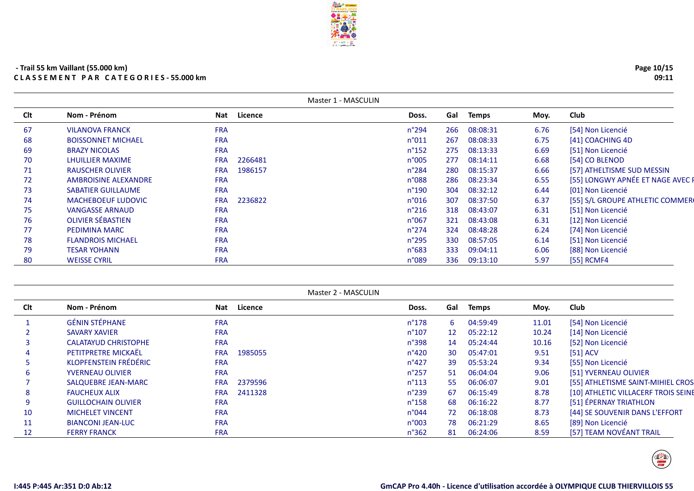| - Trail 55 km Vaillant (55.000 km) |                                            |
|------------------------------------|--------------------------------------------|
|                                    | <b>CLASSEMENT PAR CATEGORIES-55.000 km</b> |

|     |                             |            |         | Master 1 - MASCULIN |     |              |      |                                  |
|-----|-----------------------------|------------|---------|---------------------|-----|--------------|------|----------------------------------|
| Clt | Nom - Prénom                | <b>Nat</b> | Licence | Doss.               | Gal | <b>Temps</b> | Moy. | Club                             |
| 67  | <b>VILANOVA FRANCK</b>      | <b>FRA</b> |         | $n^{\circ}$ 294     | 266 | 08:08:31     | 6.76 | [54] Non Licencié                |
| 68  | <b>BOISSONNET MICHAEL</b>   | <b>FRA</b> |         | n°011               | 267 | 08:08:33     | 6.75 | [41] COACHING 4D                 |
| 69  | <b>BRAZY NICOLAS</b>        | <b>FRA</b> |         | $n^{\circ}$ 152     | 275 | 08:13:33     | 6.69 | [51] Non Licencié                |
| 70  | <b>LHUILLIER MAXIME</b>     | <b>FRA</b> | 2266481 | n°005               | 277 | 08:14:11     | 6.68 | [54] CO BLENOD                   |
| 71  | <b>RAUSCHER OLIVIER</b>     | <b>FRA</b> | 1986157 | $n^{\circ}284$      | 280 | 08:15:37     | 6.66 | [57] ATHELTISME SUD MESSIN       |
| 72  | <b>AMBROISINE ALEXANDRE</b> | <b>FRA</b> |         | n°088               | 286 | 08:23:34     | 6.55 | [55] LONGWY APNÉE ET NAGE AVEC F |
| 73  | <b>SABATIER GUILLAUME</b>   | <b>FRA</b> |         | $n^{\circ}$ 190     | 304 | 08:32:12     | 6.44 | [01] Non Licencié                |
| 74  | <b>MACHEBOEUF LUDOVIC</b>   | <b>FRA</b> | 2236822 | n°016               | 307 | 08:37:50     | 6.37 | [55] S/L GROUPE ATHLETIC COMMER  |
| 75  | <b>VANGASSE ARNAUD</b>      | <b>FRA</b> |         | $n^{\circ}216$      | 318 | 08:43:07     | 6.31 | [51] Non Licencié                |
| 76  | <b>OLIVIER SÉBASTIEN</b>    | <b>FRA</b> |         | n°067               | 321 | 08:43:08     | 6.31 | [12] Non Licencié                |
| 77  | PEDIMINA MARC               | <b>FRA</b> |         | $n^{\circ}$ 274     | 324 | 08:48:28     | 6.24 | [74] Non Licencié                |
| 78  | <b>FLANDROIS MICHAEL</b>    | <b>FRA</b> |         | $n^{\circ}295$      | 330 | 08:57:05     | 6.14 | [51] Non Licencié                |
| 79  | <b>TESAR YOHANN</b>         | <b>FRA</b> |         | $n^{\circ}683$      | 333 | 09:04:11     | 6.06 | [88] Non Licencié                |
| 80  | <b>WEISSE CYRIL</b>         | <b>FRA</b> |         | n°089               | 336 | 09:13:10     | 5.97 | [55] RCMF4                       |

|     |                             |            | Master 2 - MASCULIN |                 |     |              |       |                                     |
|-----|-----------------------------|------------|---------------------|-----------------|-----|--------------|-------|-------------------------------------|
| Clt | Nom - Prénom                | Nat        | Licence             | Doss.           | Gal | <b>Temps</b> | Moy.  | <b>Club</b>                         |
|     | <b>GÉNIN STÉPHANE</b>       | <b>FRA</b> |                     | $n^{\circ}$ 178 | 6.  | 04:59:49     | 11.01 | [54] Non Licencié                   |
|     | <b>SAVARY XAVIER</b>        | <b>FRA</b> |                     | $n^{\circ}107$  | 12  | 05:22:12     | 10.24 | [14] Non Licencié                   |
|     | <b>CALATAYUD CHRISTOPHE</b> | <b>FRA</b> |                     | n°398           | 14  | 05:24:44     | 10.16 | [52] Non Licencié                   |
|     | PETITPRETRE MICKAËL         | <b>FRA</b> | 1985055             | n°420           | 30  | 05:47:01     | 9.51  | [51] ACV                            |
|     | KLOPFENSTEIN FRÉDÉRIC       | <b>FRA</b> |                     | $n^{\circ}427$  | 39  | 05:53:24     | 9.34  | [55] Non Licencié                   |
| b   | <b>YVERNEAU OLIVIER</b>     | <b>FRA</b> |                     | $n^{\circ}257$  | 51  | 06:04:04     | 9.06  | [51] YVERNEAU OLIVIER               |
|     | SALQUEBRE JEAN-MARC         | <b>FRA</b> | 2379596             | $n^{\circ}113$  | 55  | 06:06:07     | 9.01  | [55] ATHLETISME SAINT-MIHIEL CROS.  |
| 8   | <b>FAUCHEUX ALIX</b>        | <b>FRA</b> | 2411328             | $n^{\circ}$ 239 | 67  | 06:15:49     | 8.78  | [10] ATHLETIC VILLACERF TROIS SEINE |
| 9   | <b>GUILLOCHAIN OLIVIER</b>  | <b>FRA</b> |                     | $n^{\circ}$ 158 | 68  | 06:16:22     | 8.77  | [51] ÉPERNAY TRIATHLON              |
| 10  | <b>MICHELET VINCENT</b>     | <b>FRA</b> |                     | n°044           | 72  | 06:18:08     | 8.73  | [44] SE SOUVENIR DANS L'EFFORT      |
| 11  | <b>BIANCONI JEAN-LUC</b>    | <b>FRA</b> |                     | n°003           | 78  | 06:21:29     | 8.65  | [89] Non Licencié                   |
| 12  | <b>FERRY FRANCK</b>         | <b>FRA</b> |                     | $n^{\circ}362$  | 81  | 06:24:06     | 8.59  | [57] TEAM NOVÉANT TRAIL             |





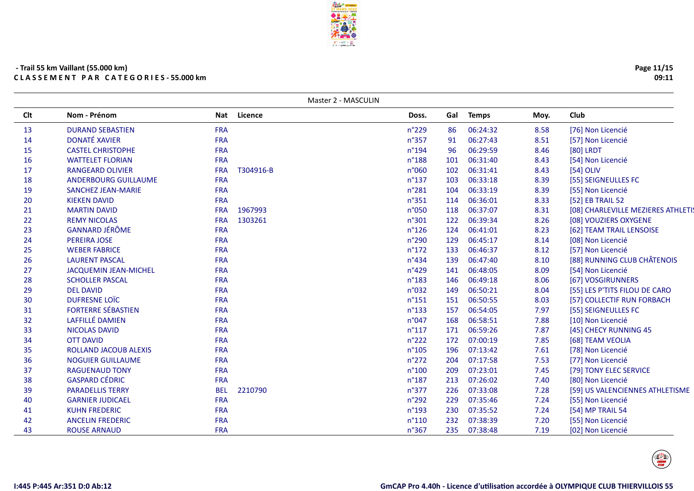| 16 | <b>WATTELET FLORIAN</b>      | <b>FRA</b> |           | $n^{\circ}188$  | 101 | 06:31:40 | 8.43 | [54] Non Licencié                  |
|----|------------------------------|------------|-----------|-----------------|-----|----------|------|------------------------------------|
| 17 | <b>RANGEARD OLIVIER</b>      | <b>FRA</b> | T304916-B | n°060           | 102 | 06:31:41 | 8.43 | [54] OLIV                          |
| 18 | <b>ANDERBOURG GUILLAUME</b>  | <b>FRA</b> |           | $n^{\circ}$ 137 | 103 | 06:33:18 | 8.39 | [55] SEIGNEULLES FC                |
| 19 | <b>SANCHEZ JEAN-MARIE</b>    | <b>FRA</b> |           | $n^{\circ}281$  | 104 | 06:33:19 | 8.39 | [55] Non Licencié                  |
| 20 | <b>KIEKEN DAVID</b>          | <b>FRA</b> |           | $n^{\circ}351$  | 114 | 06:36:01 | 8.33 | [52] EB TRAIL 52                   |
| 21 | <b>MARTIN DAVID</b>          | <b>FRA</b> | 1967993   | n°050           | 118 | 06:37:07 | 8.31 | [08] CHARLEVILLE MEZIERES ATHLETIS |
| 22 | <b>REMY NICOLAS</b>          | <b>FRA</b> | 1303261   | n°301           | 122 | 06:39:34 | 8.26 | [08] VOUZIERS OXYGENE              |
| 23 | <b>GANNARD JÉRÔME</b>        | <b>FRA</b> |           | $n^{\circ}126$  | 124 | 06:41:01 | 8.23 | [62] TEAM TRAIL LENSOISE           |
| 24 | PEREIRA JOSE                 | <b>FRA</b> |           | $n^{\circ}290$  | 129 | 06:45:17 | 8.14 | [08] Non Licencié                  |
| 25 | <b>WEBER FABRICE</b>         | <b>FRA</b> |           | $n^{\circ}172$  | 133 | 06:46:37 | 8.12 | [57] Non Licencié                  |
| 26 | <b>LAURENT PASCAL</b>        | <b>FRA</b> |           | $n^{\circ}434$  | 139 | 06:47:40 | 8.10 | [88] RUNNING CLUB CHÂTENOIS        |
| 27 | <b>JACQUEMIN JEAN-MICHEL</b> | <b>FRA</b> |           | $n^{\circ}429$  | 141 | 06:48:05 | 8.09 | [54] Non Licencié                  |
| 28 | <b>SCHOLLER PASCAL</b>       | <b>FRA</b> |           | $n^{\circ}183$  | 146 | 06:49:18 | 8.06 | [67] VOSGIRUNNERS                  |
| 29 | <b>DEL DAVID</b>             | <b>FRA</b> |           | n°032           | 149 | 06:50:21 | 8.04 | [55] LES P'TITS FILOU DE CARO      |
| 30 | <b>DUFRESNE LOÏC</b>         | <b>FRA</b> |           | $n^{\circ}$ 151 | 151 | 06:50:55 | 8.03 | [57] COLLECTIF RUN FORBACH         |
| 31 | <b>FORTERRE SÉBASTIEN</b>    | <b>FRA</b> |           | $n^{\circ}$ 133 | 157 | 06:54:05 | 7.97 | [55] SEIGNEULLES FC                |
| 32 | LAFFILLÉ DAMIEN              | <b>FRA</b> |           | n°047           | 168 | 06:58:51 | 7.88 | [10] Non Licencié                  |
| 33 | <b>NICOLAS DAVID</b>         | <b>FRA</b> |           | $n^{\circ}117$  | 171 | 06:59:26 | 7.87 | [45] CHECY RUNNING 45              |
| 34 | <b>OTT DAVID</b>             | <b>FRA</b> |           | $n^{\circ}222$  | 172 | 07:00:19 | 7.85 | [68] TEAM VEOLIA                   |
| 35 | ROLLAND JACOUB ALEXIS        | <b>FRA</b> |           | $n^{\circ}105$  | 196 | 07:13:42 | 7.61 | [78] Non Licencié                  |
| 36 | <b>NOGUIER GUILLAUME</b>     | <b>FRA</b> |           | $n^{\circ}272$  | 204 | 07:17:58 | 7.53 | [77] Non Licencié                  |
| 37 | <b>RAGUENAUD TONY</b>        | <b>FRA</b> |           | $n^{\circ}100$  | 209 | 07:23:01 | 7.45 | [79] TONY ELEC SERVICE             |
| 38 | <b>GASPARD CÉDRIC</b>        | <b>FRA</b> |           | $n^{\circ}$ 187 | 213 | 07:26:02 | 7.40 | [80] Non Licencié                  |
| 39 | <b>PARADELLIS TERRY</b>      | <b>BEL</b> | 2210790   | n°377           | 226 | 07:33:08 | 7.28 | [59] US VALENCIENNES ATHLETISME    |
| 40 | <b>GARNIER JUDICAEL</b>      | <b>FRA</b> |           | $n^{\circ}292$  | 229 | 07:35:46 | 7.24 | [55] Non Licencié                  |
| 41 | <b>KUHN FREDERIC</b>         | <b>FRA</b> |           | $n^{\circ}$ 193 | 230 | 07:35:52 | 7.24 | [54] MP TRAIL 54                   |
| 42 | <b>ANCELIN FREDERIC</b>      | <b>FRA</b> |           | $n^{\circ}110$  | 232 | 07:38:39 | 7.20 | [55] Non Licencié                  |
| 43 | <b>ROUSE ARNAUD</b>          | <b>FRA</b> |           | n°367           | 235 | 07:38:48 | 7.19 | [02] Non Licencié                  |

13 DURAND SEBASTIEN FRA<br>14 DONATÉ XAVIER FRA

<sup>14</sup> DONATÉ XAVIER FRA

15 CASTEL CHRISTOPHE FRA<br>16 WATTELET FLORIAN FRA





Master 2 - MASCULIN

<sup>n</sup>°229 <sup>86</sup> 06:24:32 8.58 [76] Non Licencié

<sup>n</sup>°357 <sup>91</sup> 06:27:43 8.51 [57] Non Licencié

<sup>n</sup>°194 <sup>96</sup> 06:29:59 8.46 [80] LRDT

**Clt Nom - Prénom Nat Licence Doss. Gal Temps Moy. Club**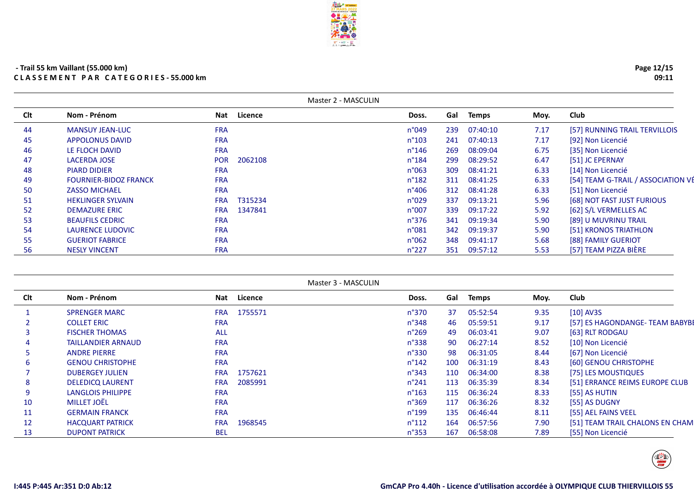|     |                              |            | Master 2 - MASCULIN |                 |     |              |      |                                    |
|-----|------------------------------|------------|---------------------|-----------------|-----|--------------|------|------------------------------------|
| Clt | Nom - Prénom                 | Nat        | Licence             | Doss.           | Gal | <b>Temps</b> | Moy. | Club                               |
| 44  | <b>MANSUY JEAN-LUC</b>       | <b>FRA</b> |                     | n°049           | 239 | 07:40:10     | 7.17 | [57] RUNNING TRAIL TERVILLOIS      |
| 45  | <b>APPOLONUS DAVID</b>       | <b>FRA</b> |                     | $n^{\circ}103$  | 241 | 07:40:13     | 7.17 | [92] Non Licencié                  |
| 46  | LE FLOCH DAVID               | <b>FRA</b> |                     | $n^{\circ}$ 146 | 269 | 08:09:04     | 6.75 | [35] Non Licencié                  |
| 47  | <b>LACERDA JOSE</b>          | <b>POR</b> | 2062108             | $n^{\circ}184$  | 299 | 08:29:52     | 6.47 | [51] JC EPERNAY                    |
| 48  | <b>PIARD DIDIER</b>          | <b>FRA</b> |                     | $n^{\circ}063$  | 309 | 08:41:21     | 6.33 | [14] Non Licencié                  |
| 49  | <b>FOURNIER-BIDOZ FRANCK</b> | <b>FRA</b> |                     | $n^{\circ}182$  | 311 | 08:41:25     | 6.33 | [54] TEAM G-TRAIL / ASSOCIATION VÉ |
| 50  | <b>ZASSO MICHAEL</b>         | <b>FRA</b> |                     | n°406           | 312 | 08:41:28     | 6.33 | [51] Non Licencié                  |
| 51  | <b>HEKLINGER SYLVAIN</b>     | <b>FRA</b> | T315234             | n°029           | 337 | 09:13:21     | 5.96 | [68] NOT FAST JUST FURIOUS         |
| 52  | <b>DEMAZURE ERIC</b>         | <b>FRA</b> | 1347841             | n°007           | 339 | 09:17:22     | 5.92 | [62] S/L VERMELLES AC              |
| 53  | <b>BEAUFILS CEDRIC</b>       | <b>FRA</b> |                     | n°376           | 341 | 09:19:34     | 5.90 | [89] U MUVRINU TRAIL               |
| 54  | <b>LAURENCE LUDOVIC</b>      | <b>FRA</b> |                     | n°081           | 342 | 09:19:37     | 5.90 | [51] KRONOS TRIATHLON              |
| 55  | <b>GUERIOT FABRICE</b>       | <b>FRA</b> |                     | n°062           | 348 | 09:41:17     | 5.68 | [88] FAMILY GUERIOT                |
| 56  | <b>NESLY VINCENT</b>         | <b>FRA</b> |                     | $n^{\circ}227$  | 351 | 09:57:12     | 5.53 | [57] TEAM PIZZA BIÈRE              |

**FRALL** 

|            |                           |            |             | Master 3 - MASCULIN |     |              |      |                                 |
|------------|---------------------------|------------|-------------|---------------------|-----|--------------|------|---------------------------------|
| <b>Clt</b> | Nom - Prénom              |            | Nat Licence | Doss.               | Gal | <b>Temps</b> | Moy. | Club                            |
|            | <b>SPRENGER MARC</b>      | <b>FRA</b> | 1755571     | $n^{\circ}370$      | 37  | 05:52:54     | 9.35 | $[10]$ AV3S                     |
|            | <b>COLLET ERIC</b>        | <b>FRA</b> |             | n°348               | 46  | 05:59:51     | 9.17 | [57] ES HAGONDANGE-TEAM BABYBE  |
|            | <b>FISCHER THOMAS</b>     | <b>ALL</b> |             | $n^{\circ}269$      | 49  | 06:03:41     | 9.07 | [63] RLT RODGAU                 |
|            | <b>TAILLANDIER ARNAUD</b> | <b>FRA</b> |             | n°338               | 90  | 06:27:14     | 8.52 | [10] Non Licencié               |
|            | <b>ANDRE PIERRE</b>       | <b>FRA</b> |             | n°330               | 98  | 06:31:05     | 8.44 | [67] Non Licencié               |
|            | <b>GENOU CHRISTOPHE</b>   | <b>FRA</b> |             | $n^{\circ}$ 142     | 100 | 06:31:19     | 8.43 | [60] GENOU CHRISTOPHE           |
|            | <b>DUBERGEY JULIEN</b>    | <b>FRA</b> | 1757621     | $n^{\circ}343$      | 110 | 06:34:00     | 8.38 | [75] LES MOUSTIQUES             |
| 8          | <b>DELEDICQ LAURENT</b>   | <b>FRA</b> | 2085991     | $n^{\circ}241$      | 113 | 06:35:39     | 8.34 | [51] ERRANCE REIMS EUROPE CLUB  |
|            | <b>LANGLOIS PHILIPPE</b>  | <b>FRA</b> |             | $n^{\circ}163$      | 115 | 06:36:24     | 8.33 | [55] AS HUTIN                   |
| 10         | <b>MILLET JOËL</b>        | <b>FRA</b> |             | $n^{\circ}369$      | 117 | 06:36:26     | 8.32 | [55] AS DUGNY                   |
| 11         | <b>GERMAIN FRANCK</b>     | <b>FRA</b> |             | n°199               | 135 | 06:46:44     | 8.11 | [55] AEL FAINS VEEL             |
| 12         | <b>HACQUART PATRICK</b>   | <b>FRA</b> | 1968545     | $n^{\circ}112$      | 164 | 06:57:56     | 7.90 | [51] TEAM TRAIL CHALONS EN CHAM |
| 13         | <b>DUPONT PATRICK</b>     | <b>BEL</b> |             | $n^{\circ}353$      | 167 | 06:58:08     | 7.89 | [55] Non Licencié               |



 $\begin{pmatrix}\n\frac{1}{\sqrt{2}} \\
\frac{1}{\sqrt{2}} \\
\frac{1}{\sqrt{2}} \\
\frac{1}{\sqrt{2}}\n\end{pmatrix}$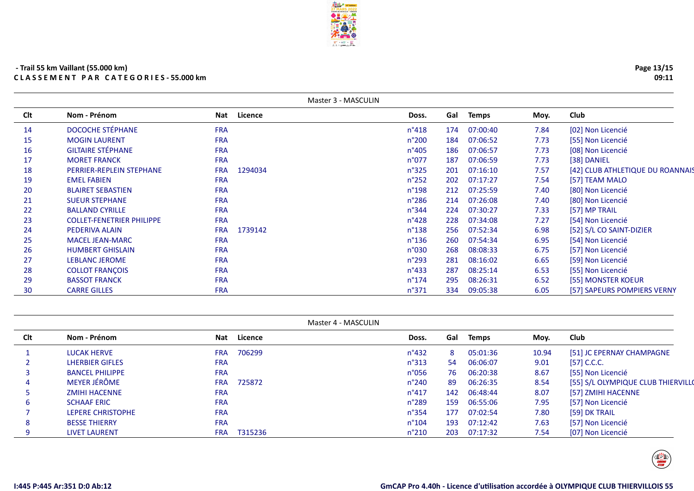|     | Master 3 - MASCULIN              |            |         |                 |     |              |      |                                  |  |  |
|-----|----------------------------------|------------|---------|-----------------|-----|--------------|------|----------------------------------|--|--|
| Clt | Nom - Prénom                     | Nat        | Licence | Doss.           | Gal | <b>Temps</b> | Moy. | Club                             |  |  |
| 14  | <b>DOCOCHE STÉPHANE</b>          | <b>FRA</b> |         | $n^{\circ}418$  | 174 | 07:00:40     | 7.84 | [02] Non Licencié                |  |  |
| 15  | <b>MOGIN LAURENT</b>             | <b>FRA</b> |         | $n^{\circ}200$  | 184 | 07:06:52     | 7.73 | [55] Non Licencié                |  |  |
| 16  | <b>GILTAIRE STÉPHANE</b>         | <b>FRA</b> |         | $n^{\circ}405$  | 186 | 07:06:57     | 7.73 | [08] Non Licencié                |  |  |
| 17  | <b>MORET FRANCK</b>              | <b>FRA</b> |         | n°077           | 187 | 07:06:59     | 7.73 | [38] DANIEL                      |  |  |
| 18  | PERRIER-REPLEIN STEPHANE         | <b>FRA</b> | 1294034 | $n^{\circ}325$  | 201 | 07:16:10     | 7.57 | [42] CLUB ATHLETIQUE DU ROANNAIS |  |  |
| 19  | <b>EMEL FABIEN</b>               | <b>FRA</b> |         | $n^{\circ}252$  | 202 | 07:17:27     | 7.54 | [57] TEAM MALO                   |  |  |
| 20  | <b>BLAIRET SEBASTIEN</b>         | <b>FRA</b> |         | $n^{\circ}$ 198 | 212 | 07:25:59     | 7.40 | [80] Non Licencié                |  |  |
| 21  | <b>SUEUR STEPHANE</b>            | <b>FRA</b> |         | $n^{\circ}286$  | 214 | 07:26:08     | 7.40 | [80] Non Licencié                |  |  |
| 22  | <b>BALLAND CYRILLE</b>           | <b>FRA</b> |         | $n^{\circ}344$  | 224 | 07:30:27     | 7.33 | [57] MP TRAIL                    |  |  |
| 23  | <b>COLLET-FENETRIER PHILIPPE</b> | <b>FRA</b> |         | $n^{\circ}428$  | 228 | 07:34:08     | 7.27 | [54] Non Licencié                |  |  |
| 24  | PEDERIVA ALAIN                   | <b>FRA</b> | 1739142 | $n^{\circ}$ 138 | 256 | 07:52:34     | 6.98 | [52] S/L CO SAINT-DIZIER         |  |  |
| 25  | <b>MACEL JEAN-MARC</b>           | <b>FRA</b> |         | $n^{\circ}$ 136 | 260 | 07:54:34     | 6.95 | [54] Non Licencié                |  |  |
| 26  | <b>HUMBERT GHISLAIN</b>          | <b>FRA</b> |         | n°030           | 268 | 08:08:33     | 6.75 | [57] Non Licencié                |  |  |
| 27  | LEBLANC JEROME                   | <b>FRA</b> |         | $n^{\circ}$ 293 | 281 | 08:16:02     | 6.65 | [59] Non Licencié                |  |  |
| 28  | <b>COLLOT FRANÇOIS</b>           | <b>FRA</b> |         | $n^{\circ}433$  | 287 | 08:25:14     | 6.53 | [55] Non Licencié                |  |  |
| 29  | <b>BASSOT FRANCK</b>             | <b>FRA</b> |         | $n^{\circ}$ 174 | 295 | 08:26:31     | 6.52 | [55] MONSTER KOEUR               |  |  |
| 30  | <b>CARRE GILLES</b>              | <b>FRA</b> |         | $n^{\circ}371$  | 334 | 09:05:38     | 6.05 | [57] SAPEURS POMPIERS VERNY      |  |  |

| Master 4 - MASCULIN |                        |            |         |                 |     |              |       |                                    |  |
|---------------------|------------------------|------------|---------|-----------------|-----|--------------|-------|------------------------------------|--|
| Clt                 | Nom - Prénom           | Nat        | Licence | Doss.           | Gal | <b>Temps</b> | Moy.  | <b>Club</b>                        |  |
|                     | <b>LUCAK HERVE</b>     | <b>FRA</b> | 706299  | $n^{\circ}432$  | 8   | 05:01:36     | 10.94 | [51] JC EPERNAY CHAMPAGNE          |  |
|                     | <b>LHERBIER GIFLES</b> | <b>FRA</b> |         | $n^{\circ}313$  | 54  | 06:06:07     | 9.01  | $[57]$ C.C.C.                      |  |
|                     | <b>BANCEL PHILIPPE</b> | <b>FRA</b> |         | n°056           | 76  | 06:20:38     | 8.67  | [55] Non Licencié                  |  |
| 4                   | MEYER JÉRÔME           | <b>FRA</b> | 725872  | $n^{\circ}$ 240 | 89  | 06:26:35     | 8.54  | [55] S/L OLYMPIQUE CLUB THIERVILLO |  |
|                     | <b>ZMIHI HACENNE</b>   | <b>FRA</b> |         | $n^{\circ}417$  | 142 | 06:48:44     | 8.07  | [57] ZMIHI HACENNE                 |  |
| 6.                  | <b>SCHAAF ERIC</b>     | <b>FRA</b> |         | $n^{\circ}289$  | 159 | 06:55:06     | 7.95  | [57] Non Licencié                  |  |
|                     | LEPERE CHRISTOPHE      | <b>FRA</b> |         | $n^{\circ}354$  | 177 | 07:02:54     | 7.80  | [59] DK TRAIL                      |  |
| 8                   | <b>BESSE THIERRY</b>   | <b>FRA</b> |         | $n^{\circ}104$  | 193 | 07:12:42     | 7.63  | [57] Non Licencié                  |  |
| 9                   | <b>LIVET LAURENT</b>   | <b>FRA</b> | T315236 | $n^{\circ}210$  | 203 | 07:17:32     | 7.54  | [07] Non Licencié                  |  |



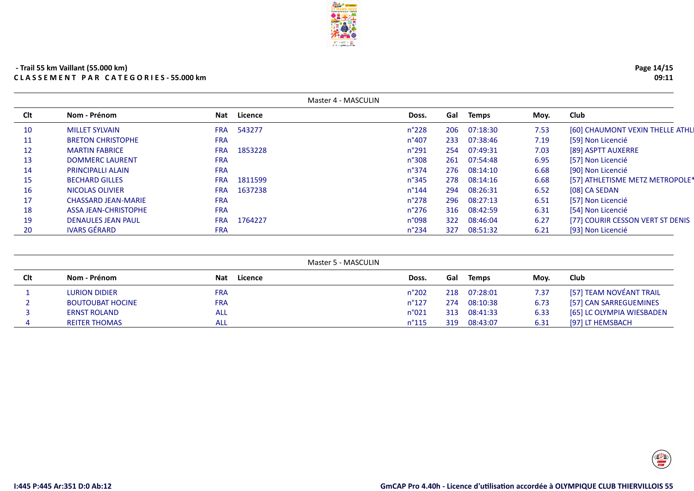| Master 4 - MASCULIN |                             |            |         |                 |     |          |      |                                  |  |
|---------------------|-----------------------------|------------|---------|-----------------|-----|----------|------|----------------------------------|--|
| <b>Clt</b>          | Nom - Prénom                | Nat        | Licence | Doss.           | Gal | Temps    | Moy. | Club                             |  |
| 10                  | <b>MILLET SYLVAIN</b>       | <b>FRA</b> | 543277  | $n^{\circ}228$  | 206 | 07:18:30 | 7.53 | [60] CHAUMONT VEXIN THELLE ATHLI |  |
| 11                  | <b>BRETON CHRISTOPHE</b>    | <b>FRA</b> |         | $n^{\circ}407$  | 233 | 07:38:46 | 7.19 | [59] Non Licencié                |  |
| 12                  | <b>MARTIN FABRICE</b>       | <b>FRA</b> | 1853228 | $n^{\circ}291$  | 254 | 07:49:31 | 7.03 | [89] ASPTT AUXERRE               |  |
| 13                  | <b>DOMMERC LAURENT</b>      | <b>FRA</b> |         | n°308           | 261 | 07:54:48 | 6.95 | [57] Non Licencié                |  |
| 14                  | <b>PRINCIPALLI ALAIN</b>    | <b>FRA</b> |         | $n^{\circ}374$  | 276 | 08:14:10 | 6.68 | [90] Non Licencié                |  |
| 15                  | <b>BECHARD GILLES</b>       | <b>FRA</b> | 1811599 | $n^{\circ}345$  | 278 | 08:14:16 | 6.68 | [57] ATHLETISME METZ METROPOLE*  |  |
| 16                  | NICOLAS OLIVIER             | <b>FRA</b> | 1637238 | $n^{\circ}$ 144 | 294 | 08:26:31 | 6.52 | [08] CA SEDAN                    |  |
| 17                  | <b>CHASSARD JEAN-MARIE</b>  | <b>FRA</b> |         | $n^{\circ}$ 278 | 296 | 08:27:13 | 6.51 | [57] Non Licencié                |  |
| 18                  | <b>ASSA JEAN-CHRISTOPHE</b> | <b>FRA</b> |         | $n^{\circ}$ 276 | 316 | 08:42:59 | 6.31 | [54] Non Licencié                |  |
| 19                  | <b>DENAULES JEAN PAUL</b>   | <b>FRA</b> | 1764227 | n°098           | 322 | 08:46:04 | 6.27 | [77] COURIR CESSON VERT ST DENIS |  |
| 20                  | <b>IVARS GÉRARD</b>         | <b>FRA</b> |         | $n^{\circ}$ 234 | 327 | 08:51:32 | 6.21 | [93] Non Licencié                |  |

|     |                         |                | Master 5 - MASCULIN |     |              |      |                           |
|-----|-------------------------|----------------|---------------------|-----|--------------|------|---------------------------|
| Clt | Nom - Prénom            | Licence<br>Nat | Doss.               | Gal | <b>Temps</b> | Mov. | <b>Club</b>               |
|     | <b>LURION DIDIER</b>    | <b>FRA</b>     | $n^{\circ}202$      | 218 | 07:28:01     | 7.37 | [57] TEAM NOVÉANT TRAIL   |
|     | <b>BOUTOUBAT HOCINE</b> | <b>FRA</b>     | $n^{\circ}127$      | 274 | 08:10:38     | 6.73 | [57] CAN SARREGUEMINES    |
|     | <b>ERNST ROLAND</b>     | <b>ALL</b>     | n°021               | 313 | 08:41:33     | 6.33 | [65] LC OLYMPIA WIESBADEN |
|     | <b>REITER THOMAS</b>    | ALL            | $n^{\circ}$ 115     | 319 | 08:43:07     | 6.31 | [97] LT HEMSBACH          |



 $\begin{pmatrix}\n\frac{1}{\sqrt{2}} \\
\frac{1}{\sqrt{2}} \\
\frac{1}{\sqrt{2}} \\
\frac{1}{\sqrt{2}}\n\end{pmatrix}$